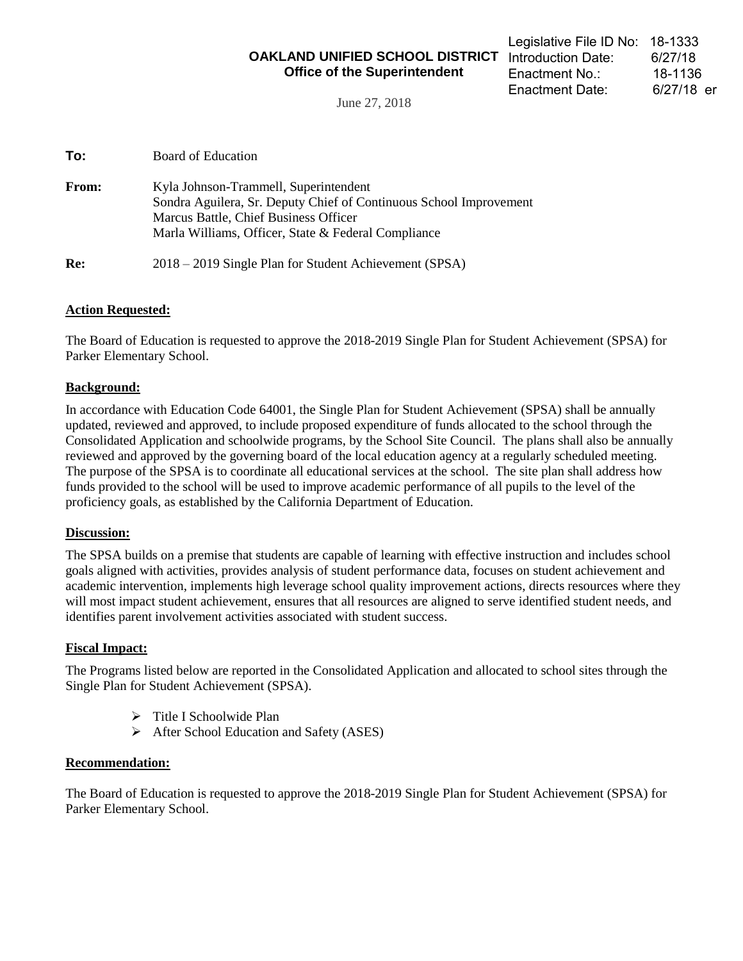**OAKLAND UNIFIED SCHOOL DISTRICT**  Introduction Date: 6/27/18 **Office of the Superintendent** 

June 27, 2018

| <b>From:</b> | Kyla Johnson-Trammell, Superintendent<br>Sondra Aguilera, Sr. Deputy Chief of Continuous School Improvement<br>Marcus Battle, Chief Business Officer<br>Marla Williams, Officer, State & Federal Compliance |
|--------------|-------------------------------------------------------------------------------------------------------------------------------------------------------------------------------------------------------------|
| Re:          | 2018 – 2019 Single Plan for Student Achievement (SPSA)                                                                                                                                                      |

### **Action Requested:**

The Board of Education is requested to approve the 2018-2019 Single Plan for Student Achievement (SPSA) for Parker Elementary School.

### **Background:**

In accordance with Education Code 64001, the Single Plan for Student Achievement (SPSA) shall be annually updated, reviewed and approved, to include proposed expenditure of funds allocated to the school through the Consolidated Application and schoolwide programs, by the School Site Council. The plans shall also be annually reviewed and approved by the governing board of the local education agency at a regularly scheduled meeting. The purpose of the SPSA is to coordinate all educational services at the school. The site plan shall address how funds provided to the school will be used to improve academic performance of all pupils to the level of the proficiency goals, as established by the California Department of Education.

#### **Discussion:**

The SPSA builds on a premise that students are capable of learning with effective instruction and includes school goals aligned with activities, provides analysis of student performance data, focuses on student achievement and academic intervention, implements high leverage school quality improvement actions, directs resources where they will most impact student achievement, ensures that all resources are aligned to serve identified student needs, and identifies parent involvement activities associated with student success.

#### **Fiscal Impact:**

The Programs listed below are reported in the Consolidated Application and allocated to school sites through the Single Plan for Student Achievement (SPSA).

- $\triangleright$  Title I Schoolwide Plan
- $\triangleright$  After School Education and Safety (ASES)

#### **Recommendation:**

The Board of Education is requested to approve the 2018-2019 Single Plan for Student Achievement (SPSA) for Parker Elementary School.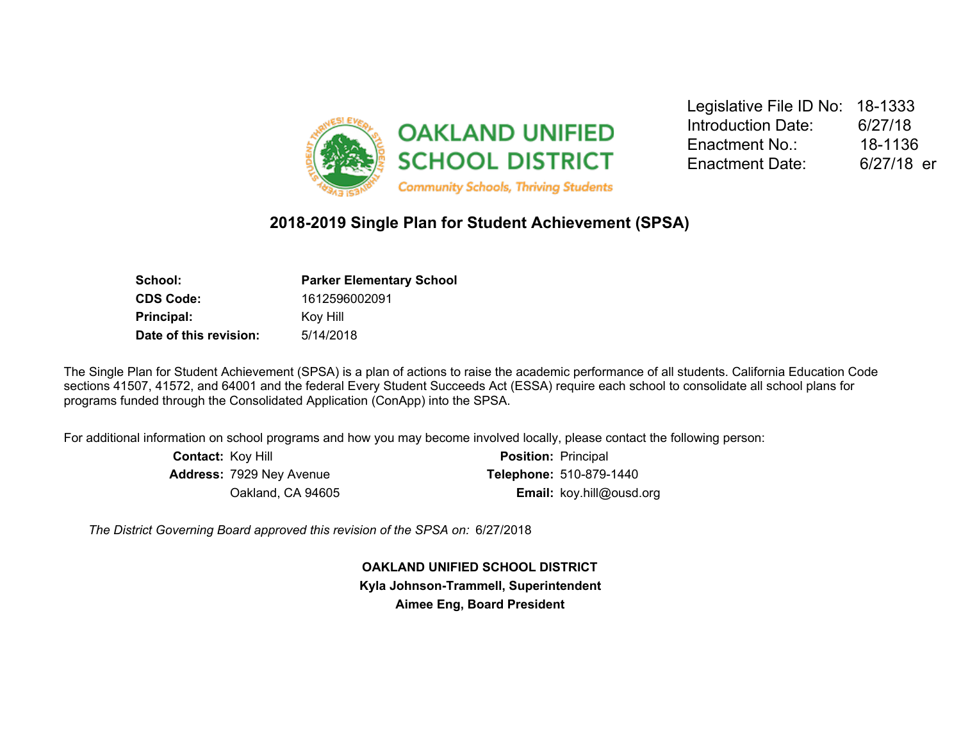

Legislative File ID No: 18-1333 Introduction Date: 6/27/18 Enactment No.: 18-1136 Enactment Date: 6/27/18 er

## **2018-2019 Single Plan for Student Achievement (SPSA)**

| School:                | <b>Parker Elementary School</b> |  |  |
|------------------------|---------------------------------|--|--|
| <b>CDS Code:</b>       | 1612596002091                   |  |  |
| Principal:             | Koy Hill                        |  |  |
| Date of this revision: | 5/14/2018                       |  |  |

The Single Plan for Student Achievement (SPSA) is a plan of actions to raise the academic performance of all students. California Education Code sections 41507, 41572, and 64001 and the federal Every Student Succeeds Act (ESSA) require each school to consolidate all school plans for programs funded through the Consolidated Application (ConApp) into the SPSA.

For additional information on school programs and how you may become involved locally, please contact the following person:

| <b>Contact: Koy Hill</b>        | <b>Position: Principal</b>      |
|---------------------------------|---------------------------------|
| <b>Address: 7929 Ney Avenue</b> | <b>Telephone: 510-879-1440</b>  |
| Oakland, CA 94605               | <b>Email:</b> koy.hill@ousd.org |

*The District Governing Board approved this revision of the SPSA on:* 6/27/2018

**OAKLAND UNIFIED SCHOOL DISTRICT Kyla Johnson-Trammell, Superintendent Aimee Eng, Board President**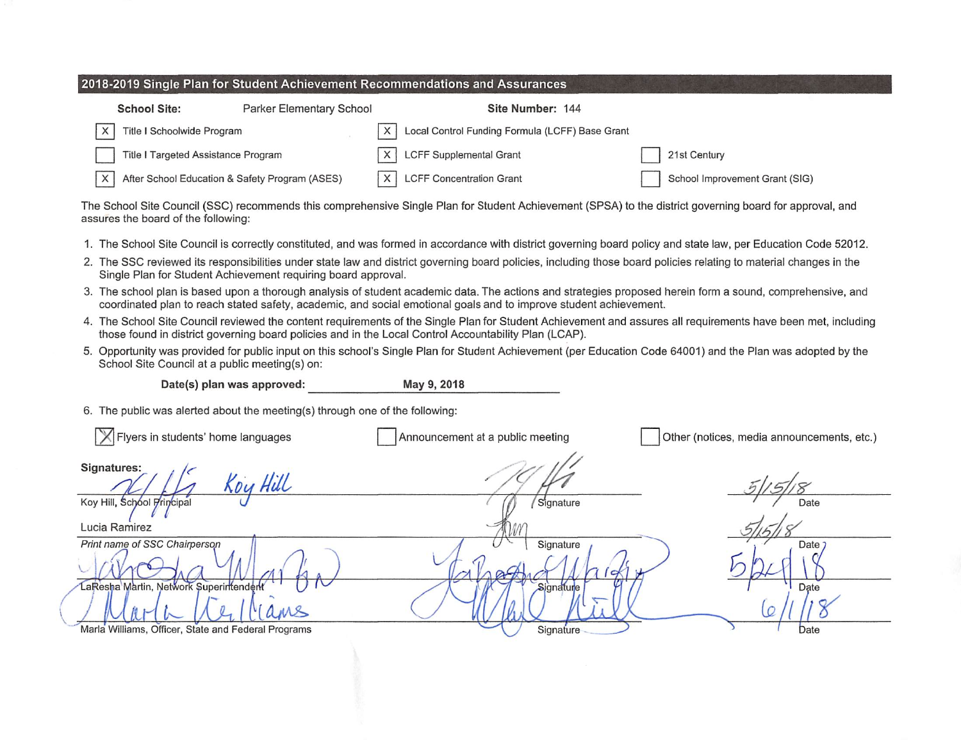| 2018-2019 Single Plan for Student Achievement Recommendations and Assurances |                          |                  |  |  |  |
|------------------------------------------------------------------------------|--------------------------|------------------|--|--|--|
| <b>School Site:</b>                                                          | Parker Elementary School | Site Number: 144 |  |  |  |

| $\times$<br>Title I Schoolwide Program             | X   Local Control Funding Formula (LCFF) Base Grant |                                |
|----------------------------------------------------|-----------------------------------------------------|--------------------------------|
| Title I Targeted Assistance Program                | $ X $ LCFF Supplemental Grant                       | 21st Century                   |
| X   After School Education & Safety Program (ASES) | X   LCFF Concentration Grant                        | School Improvement Grant (SIG) |

The School Site Council (SSC) recommends this comprehensive Single Plan for Student Achievement (SPSA) to the district governing board for approval, and assures the board of the following:

- 1. The School Site Council is correctly constituted, and was formed in accordance with district governing board policy and state law, per Education Code 52012.
- 2. The SSC reviewed its responsibilities under state law and district governing board policies, including those board policies relating to material changes in the Single Plan for Student Achievement requiring board approval.
- 3. The school plan is based upon a thorough analysis of student academic data. The actions and strategies proposed herein form a sound, comprehensive, and coordinated plan to reach stated safety, academic, and social emotional goals and to improve student achievement.
- 4. The School Site Council reviewed the content requirements of the Single Plan for Student Achievement and assures all requirements have been met, including those found in district governing board policies and in the Local Control Accountability Plan (LCAP).
- 5. Opportunity was provided for public input on this school's Single Plan for Student Achievement (per Education Code 64001) and the Plan was adopted by the School Site Council at a public meeting(s) on:

Date(s) plan was approved:

May 9, 2018

6. The public was alerted about the meeting(s) through one of the following:

| X Flyers in students' home languages                | Announcement at a public meeting | Other (notices, media announcements, etc.) |
|-----------------------------------------------------|----------------------------------|--------------------------------------------|
| Signatures:<br>Koy Hill                             |                                  | 5'                                         |
| Koy Hill, School Principal                          | Signature                        | Date                                       |
| Lucia Ramirez                                       |                                  |                                            |
| Print name of SSC Chairperson                       | Signature                        | Date:                                      |
| LaResha Martin, Network Superintendent              | Signature                        | Date                                       |
| MS                                                  |                                  |                                            |
| Marla Williams, Officer, State and Federal Programs | Signature                        | Date                                       |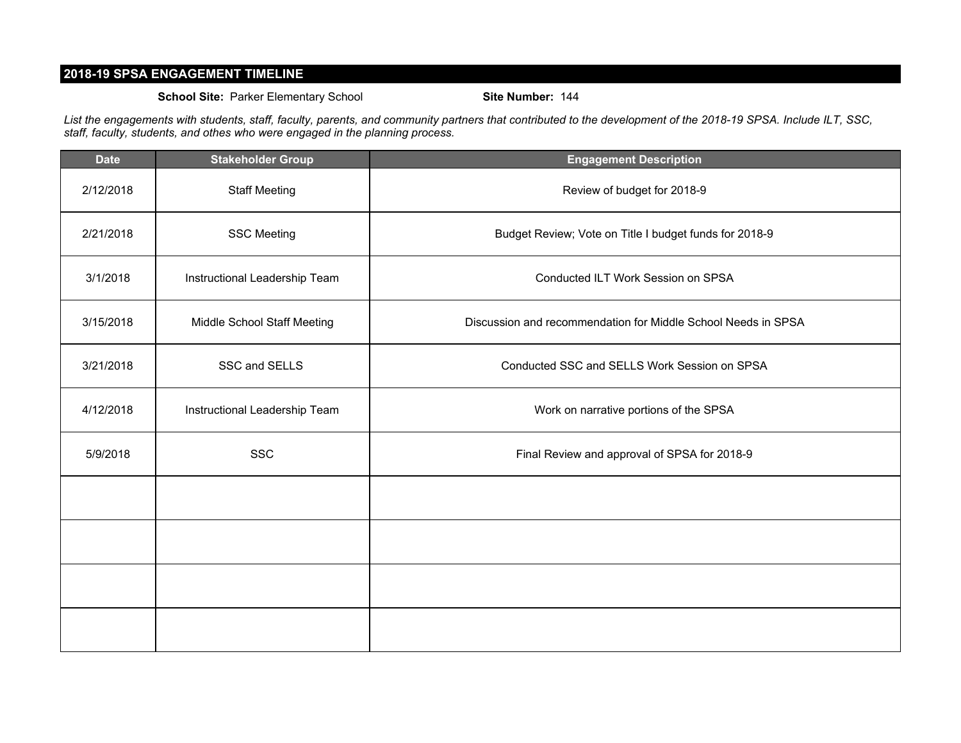### **2018-19 SPSA ENGAGEMENT TIMELINE**

#### **School Site:** Parker Elementary School **Site Number:** 144

*List the engagements with students, staff, faculty, parents, and community partners that contributed to the development of the 2018-19 SPSA. Include ILT, SSC, staff, faculty, students, and othes who were engaged in the planning process.*

| <b>Date</b> | <b>Stakeholder Group</b>      | <b>Engagement Description</b>                                 |  |
|-------------|-------------------------------|---------------------------------------------------------------|--|
| 2/12/2018   | <b>Staff Meeting</b>          | Review of budget for 2018-9                                   |  |
| 2/21/2018   | <b>SSC Meeting</b>            | Budget Review; Vote on Title I budget funds for 2018-9        |  |
| 3/1/2018    | Instructional Leadership Team | Conducted ILT Work Session on SPSA                            |  |
| 3/15/2018   | Middle School Staff Meeting   | Discussion and recommendation for Middle School Needs in SPSA |  |
| 3/21/2018   | SSC and SELLS                 | Conducted SSC and SELLS Work Session on SPSA                  |  |
| 4/12/2018   | Instructional Leadership Team | Work on narrative portions of the SPSA                        |  |
| 5/9/2018    | <b>SSC</b>                    | Final Review and approval of SPSA for 2018-9                  |  |
|             |                               |                                                               |  |
|             |                               |                                                               |  |
|             |                               |                                                               |  |
|             |                               |                                                               |  |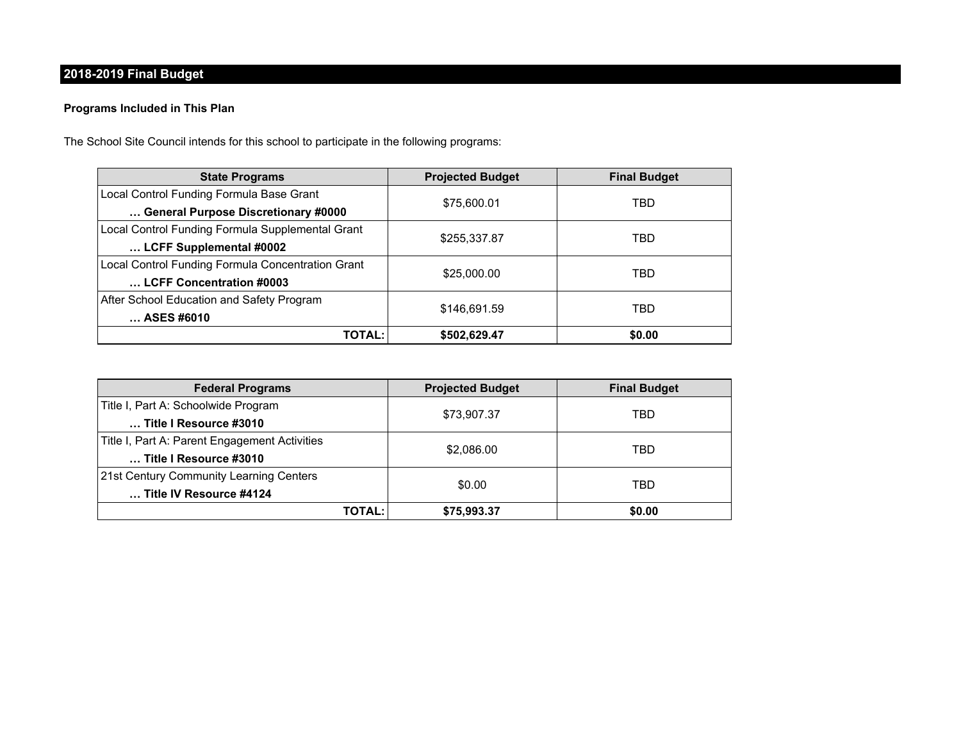## **2018-2019 Final Budget**

### **Programs Included in This Plan**

The School Site Council intends for this school to participate in the following programs:

| <b>State Programs</b>                             | <b>Projected Budget</b> | <b>Final Budget</b> |  |
|---------------------------------------------------|-------------------------|---------------------|--|
| Local Control Funding Formula Base Grant          |                         | TBD                 |  |
| General Purpose Discretionary #0000               | \$75,600.01             |                     |  |
| Local Control Funding Formula Supplemental Grant  | \$255,337.87            | TBD                 |  |
| LCFF Supplemental #0002                           |                         |                     |  |
| Local Control Funding Formula Concentration Grant | \$25,000.00             | TBD                 |  |
| LCFF Concentration #0003                          |                         |                     |  |
| After School Education and Safety Program         |                         | TBD                 |  |
| ASES #6010                                        | \$146,691.59            |                     |  |
| <b>TOTAL:</b>                                     | \$502,629.47            | \$0.00              |  |

| <b>Federal Programs</b>                       | <b>Projected Budget</b> | <b>Final Budget</b> |  |
|-----------------------------------------------|-------------------------|---------------------|--|
| Title I, Part A: Schoolwide Program           |                         | TBD                 |  |
| Title I Resource #3010                        | \$73,907.37             |                     |  |
| Title I, Part A: Parent Engagement Activities |                         | TBD                 |  |
| Title I Resource #3010                        | \$2,086.00              |                     |  |
| 21st Century Community Learning Centers       |                         |                     |  |
| Title IV Resource #4124                       | \$0.00                  | TBD                 |  |
| TOTAL:                                        | \$75,993.37             | \$0.00              |  |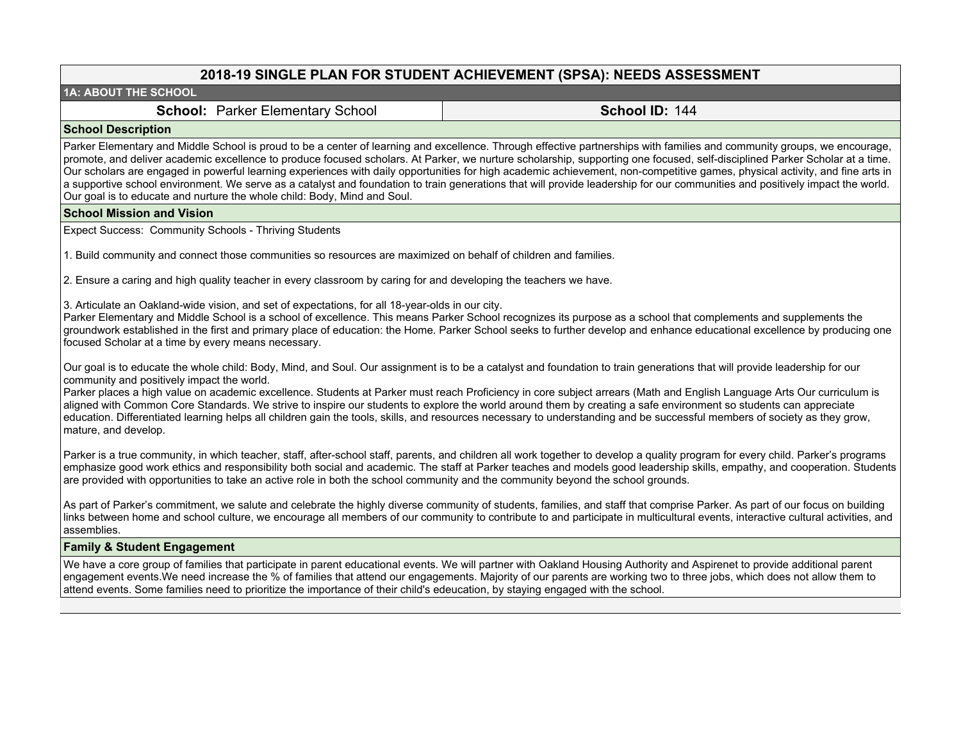### **2018-19 SINGLE PLAN FOR STUDENT ACHIEVEMENT (SPSA): NEEDS ASSESSMENT**

#### **1A: ABOUT THE SCHOOL**

**School: Parker Elementary School <b>School ID:** 144

#### **School Description**

Parker Elementary and Middle School is proud to be a center of learning and excellence. Through effective partnerships with families and community groups, we encourage, promote, and deliver academic excellence to produce focused scholars. At Parker, we nurture scholarship, supporting one focused, self-disciplined Parker Scholar at a time. Our scholars are engaged in powerful learning experiences with daily opportunities for high academic achievement, non-competitive games, physical activity, and fine arts in a supportive school environment. We serve as a catalyst and foundation to train generations that will provide leadership for our communities and positively impact the world. Our goal is to educate and nurture the whole child: Body, Mind and Soul.

#### **School Mission and Vision**

Expect Success: Community Schools - Thriving Students

1. Build community and connect those communities so resources are maximized on behalf of children and families.

2. Ensure a caring and high quality teacher in every classroom by caring for and developing the teachers we have.

3. Articulate an Oakland-wide vision, and set of expectations, for all 18-year-olds in our city.

Parker Elementary and Middle School is a school of excellence. This means Parker School recognizes its purpose as a school that complements and supplements the groundwork established in the first and primary place of education: the Home. Parker School seeks to further develop and enhance educational excellence by producing one focused Scholar at a time by every means necessary.

Our goal is to educate the whole child: Body, Mind, and Soul. Our assignment is to be a catalyst and foundation to train generations that will provide leadership for our community and positively impact the world.

Parker places a high value on academic excellence. Students at Parker must reach Proficiency in core subject arrears (Math and English Language Arts Our curriculum is aligned with Common Core Standards. We strive to inspire our students to explore the world around them by creating a safe environment so students can appreciate education. Differentiated learning helps all children gain the tools, skills, and resources necessary to understanding and be successful members of society as they grow, mature, and develop.

Parker is a true community, in which teacher, staff, after-school staff, parents, and children all work together to develop a quality program for every child. Parker's programs emphasize good work ethics and responsibility both social and academic. The staff at Parker teaches and models good leadership skills, empathy, and cooperation. Students are provided with opportunities to take an active role in both the school community and the community beyond the school grounds.

As part of Parker's commitment, we salute and celebrate the highly diverse community of students, families, and staff that comprise Parker. As part of our focus on building links between home and school culture, we encourage all members of our community to contribute to and participate in multicultural events, interactive cultural activities, and assemblies.

#### **Family & Student Engagement**

We have a core group of families that participate in parent educational events. We will partner with Oakland Housing Authority and Aspirenet to provide additional parent engagement events.We need increase the % of families that attend our engagements. Majority of our parents are working two to three jobs, which does not allow them to attend events. Some families need to prioritize the importance of their child's edeucation, by staying engaged with the school.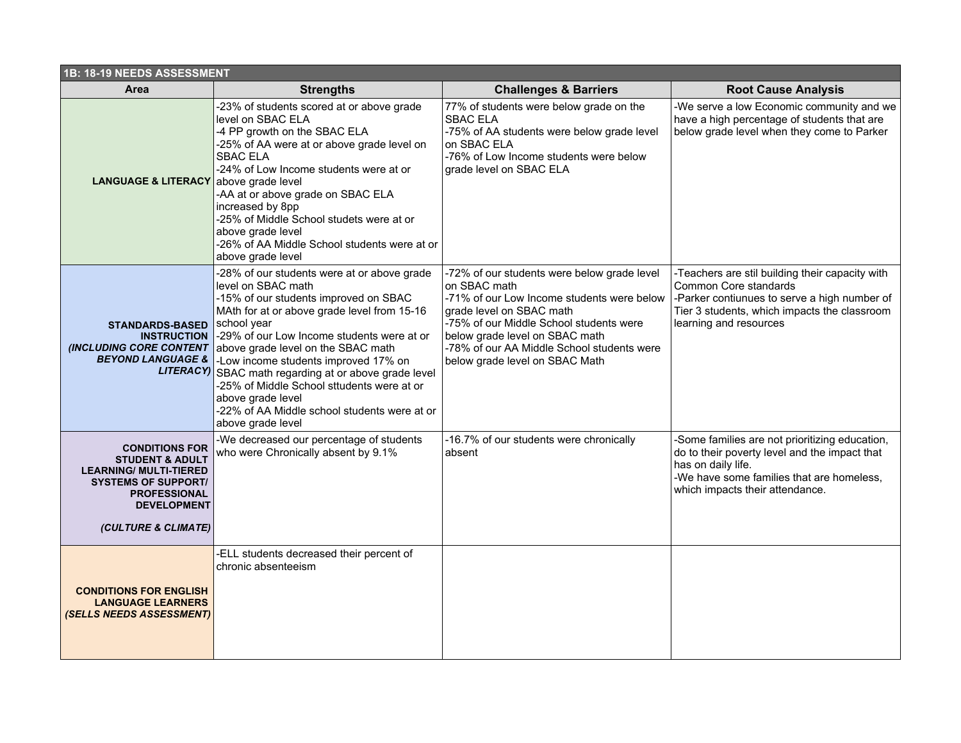| 1B: 18-19 NEEDS ASSESSMENT                                                                                                                                                             |                                                                                                                                                                                                                                                                                                                                                                                                                                                                                                       |                                                                                                                                                                                                                                                                                                    |                                                                                                                                                                                                       |  |  |  |
|----------------------------------------------------------------------------------------------------------------------------------------------------------------------------------------|-------------------------------------------------------------------------------------------------------------------------------------------------------------------------------------------------------------------------------------------------------------------------------------------------------------------------------------------------------------------------------------------------------------------------------------------------------------------------------------------------------|----------------------------------------------------------------------------------------------------------------------------------------------------------------------------------------------------------------------------------------------------------------------------------------------------|-------------------------------------------------------------------------------------------------------------------------------------------------------------------------------------------------------|--|--|--|
| Area                                                                                                                                                                                   | <b>Strengths</b>                                                                                                                                                                                                                                                                                                                                                                                                                                                                                      | <b>Challenges &amp; Barriers</b>                                                                                                                                                                                                                                                                   | <b>Root Cause Analysis</b>                                                                                                                                                                            |  |  |  |
| <b>LANGUAGE &amp; LITERACY</b> above grade level                                                                                                                                       | -23% of students scored at or above grade<br>level on SBAC ELA<br>-4 PP growth on the SBAC ELA<br>-25% of AA were at or above grade level on<br><b>SBAC ELA</b><br>-24% of Low Income students were at or<br>-AA at or above grade on SBAC ELA<br>increased by 8pp<br>-25% of Middle School studets were at or<br>above grade level<br>-26% of AA Middle School students were at or<br>above grade level                                                                                              | 77% of students were below grade on the<br><b>SBAC ELA</b><br>-75% of AA students were below grade level<br>on SBAC ELA<br>-76% of Low Income students were below<br>grade level on SBAC ELA                                                                                                       | -We serve a low Economic community and we<br>have a high percentage of students that are<br>below grade level when they come to Parker                                                                |  |  |  |
| <b>STANDARDS-BASED</b><br><b>INSTRUCTION</b><br><b>INCLUDING CORE CONTENT</b><br><b>BEYOND LANGUAGE &amp;</b>                                                                          | -28% of our students were at or above grade<br>level on SBAC math<br>-15% of our students improved on SBAC<br>MAth for at or above grade level from 15-16<br>school year<br>-29% of our Low Income students were at or<br>above grade level on the SBAC math<br>-Low income students improved 17% on<br>LITERACY) SBAC math regarding at or above grade level<br>-25% of Middle School sttudents were at or<br>above grade level<br>-22% of AA Middle school students were at or<br>above grade level | -72% of our students were below grade level<br>on SBAC math<br>-71% of our Low Income students were below<br>grade level on SBAC math<br>-75% of our Middle School students were<br>below grade level on SBAC math<br>-78% of our AA Middle School students were<br>below grade level on SBAC Math | -Teachers are stil building their capacity with<br>Common Core standards<br>-Parker contiunues to serve a high number of<br>Tier 3 students, which impacts the classroom<br>learning and resources    |  |  |  |
| <b>CONDITIONS FOR</b><br><b>STUDENT &amp; ADULT</b><br><b>LEARNING/ MULTI-TIERED</b><br><b>SYSTEMS OF SUPPORT/</b><br><b>PROFESSIONAL</b><br><b>DEVELOPMENT</b><br>(CULTURE & CLIMATE) | -We decreased our percentage of students<br>who were Chronically absent by 9.1%                                                                                                                                                                                                                                                                                                                                                                                                                       | -16.7% of our students were chronically<br>absent                                                                                                                                                                                                                                                  | -Some families are not prioritizing education,<br>do to their poverty level and the impact that<br>has on daily life.<br>-We have some families that are homeless,<br>which impacts their attendance. |  |  |  |
| <b>CONDITIONS FOR ENGLISH</b><br><b>LANGUAGE LEARNERS</b><br>(SELLS NEEDS ASSESSMENT)                                                                                                  | -ELL students decreased their percent of<br>chronic absenteeism                                                                                                                                                                                                                                                                                                                                                                                                                                       |                                                                                                                                                                                                                                                                                                    |                                                                                                                                                                                                       |  |  |  |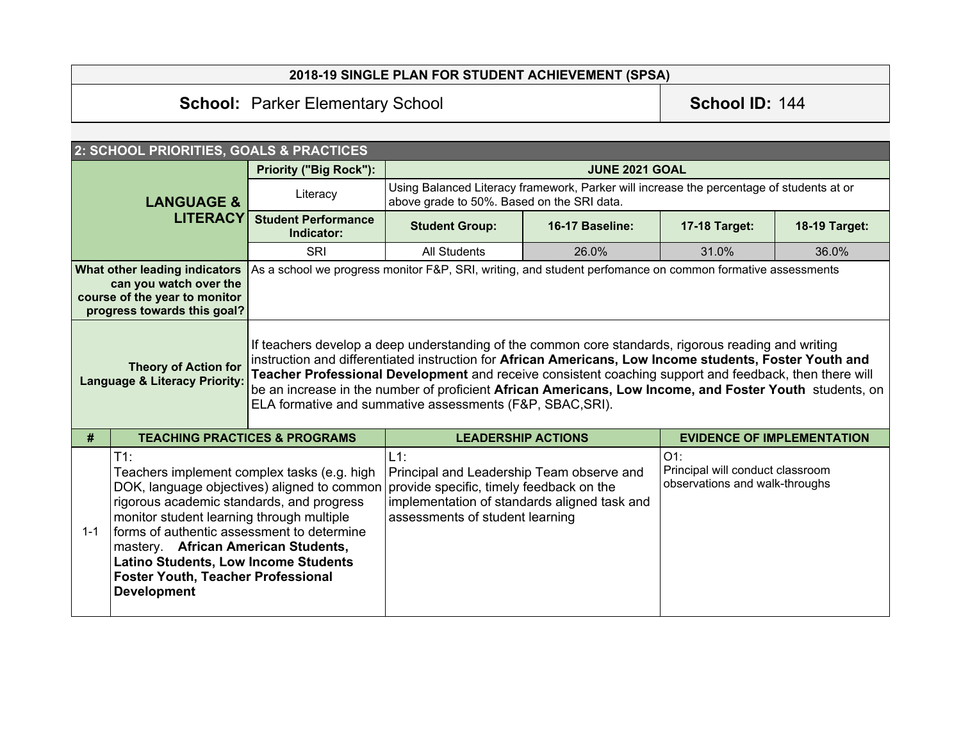## **2018-19 SINGLE PLAN FOR STUDENT ACHIEVEMENT (SPSA)**

# **School: Parker Elementary School <b>School ID:** 144

|                                                                                                                                                                                                                                                                                                                                                                                                                  | 2: SCHOOL PRIORITIES, GOALS & PRACTICES  |                                                                                                                                                                                    |                                                                                                                                                                                                                                                                                                                                                                                                                                                                                                  |                                                                              |                                   |               |
|------------------------------------------------------------------------------------------------------------------------------------------------------------------------------------------------------------------------------------------------------------------------------------------------------------------------------------------------------------------------------------------------------------------|------------------------------------------|------------------------------------------------------------------------------------------------------------------------------------------------------------------------------------|--------------------------------------------------------------------------------------------------------------------------------------------------------------------------------------------------------------------------------------------------------------------------------------------------------------------------------------------------------------------------------------------------------------------------------------------------------------------------------------------------|------------------------------------------------------------------------------|-----------------------------------|---------------|
| <b>LANGUAGE &amp;</b>                                                                                                                                                                                                                                                                                                                                                                                            |                                          | <b>Priority ("Big Rock"):</b>                                                                                                                                                      | <b>JUNE 2021 GOAL</b>                                                                                                                                                                                                                                                                                                                                                                                                                                                                            |                                                                              |                                   |               |
|                                                                                                                                                                                                                                                                                                                                                                                                                  |                                          | Literacy                                                                                                                                                                           | Using Balanced Literacy framework, Parker will increase the percentage of students at or<br>above grade to 50%. Based on the SRI data.                                                                                                                                                                                                                                                                                                                                                           |                                                                              |                                   |               |
|                                                                                                                                                                                                                                                                                                                                                                                                                  | <b>LITERACY</b>                          | <b>Student Performance</b><br>Indicator:                                                                                                                                           | <b>Student Group:</b>                                                                                                                                                                                                                                                                                                                                                                                                                                                                            | 16-17 Baseline:                                                              | 17-18 Target:                     | 18-19 Target: |
|                                                                                                                                                                                                                                                                                                                                                                                                                  |                                          | <b>SRI</b>                                                                                                                                                                         | <b>All Students</b>                                                                                                                                                                                                                                                                                                                                                                                                                                                                              | 26.0%                                                                        | 31.0%                             | 36.0%         |
| What other leading indicators<br>can you watch over the<br>course of the year to monitor<br>progress towards this goal?                                                                                                                                                                                                                                                                                          |                                          |                                                                                                                                                                                    | As a school we progress monitor F&P, SRI, writing, and student perfomance on common formative assessments                                                                                                                                                                                                                                                                                                                                                                                        |                                                                              |                                   |               |
| <b>Theory of Action for</b><br><b>Language &amp; Literacy Priority:</b>                                                                                                                                                                                                                                                                                                                                          |                                          |                                                                                                                                                                                    | If teachers develop a deep understanding of the common core standards, rigorous reading and writing<br>instruction and differentiated instruction for African Americans, Low Income students, Foster Youth and<br>Teacher Professional Development and receive consistent coaching support and feedback, then there will<br>be an increase in the number of proficient African Americans, Low Income, and Foster Youth students, on<br>ELA formative and summative assessments (F&P, SBAC, SRI). |                                                                              |                                   |               |
| #                                                                                                                                                                                                                                                                                                                                                                                                                | <b>TEACHING PRACTICES &amp; PROGRAMS</b> |                                                                                                                                                                                    | <b>LEADERSHIP ACTIONS</b>                                                                                                                                                                                                                                                                                                                                                                                                                                                                        |                                                                              | <b>EVIDENCE OF IMPLEMENTATION</b> |               |
| $T1$ :<br>Teachers implement complex tasks (e.g. high<br>DOK, language objectives) aligned to common<br>rigorous academic standards, and progress<br>monitor student learning through multiple<br>forms of authentic assessment to determine<br>$1 - 1$<br>mastery. African American Students,<br><b>Latino Students, Low Income Students</b><br><b>Foster Youth, Teacher Professional</b><br><b>Development</b> |                                          | $L1$ :<br>Principal and Leadership Team observe and<br>provide specific, timely feedback on the<br>implementation of standards aligned task and<br>assessments of student learning |                                                                                                                                                                                                                                                                                                                                                                                                                                                                                                  | $O1$ :<br>Principal will conduct classroom<br>observations and walk-throughs |                                   |               |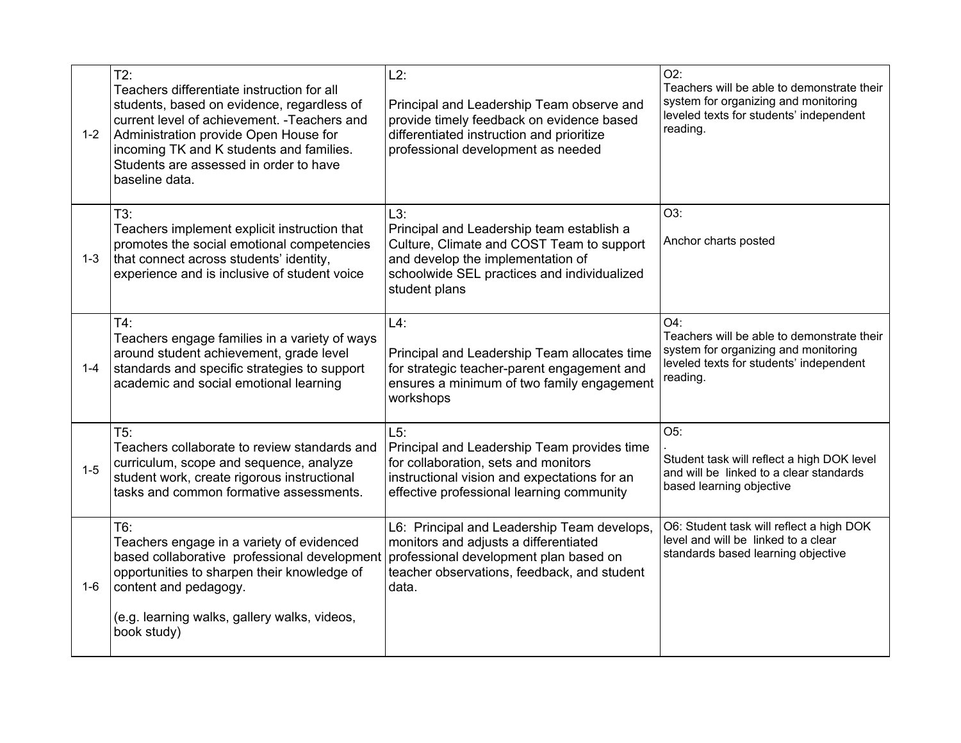| $1 - 2$ | $T2$ :<br>Teachers differentiate instruction for all<br>students, based on evidence, regardless of<br>current level of achievement. - Teachers and<br>Administration provide Open House for<br>incoming TK and K students and families.<br>Students are assessed in order to have<br>baseline data. | $L2$ :<br>Principal and Leadership Team observe and<br>provide timely feedback on evidence based<br>differentiated instruction and prioritize<br>professional development as needed                | $O2$ :<br>Teachers will be able to demonstrate their<br>system for organizing and monitoring<br>leveled texts for students' independent<br>reading. |
|---------|-----------------------------------------------------------------------------------------------------------------------------------------------------------------------------------------------------------------------------------------------------------------------------------------------------|----------------------------------------------------------------------------------------------------------------------------------------------------------------------------------------------------|-----------------------------------------------------------------------------------------------------------------------------------------------------|
| $1 - 3$ | $T3$ :<br>Teachers implement explicit instruction that<br>promotes the social emotional competencies<br>that connect across students' identity,<br>experience and is inclusive of student voice                                                                                                     | L3:<br>Principal and Leadership team establish a<br>Culture, Climate and COST Team to support<br>and develop the implementation of<br>schoolwide SEL practices and individualized<br>student plans | O3:<br>Anchor charts posted                                                                                                                         |
| $1 - 4$ | $T4$ :<br>Teachers engage families in a variety of ways<br>around student achievement, grade level<br>standards and specific strategies to support<br>academic and social emotional learning                                                                                                        | $L4$ :<br>Principal and Leadership Team allocates time<br>for strategic teacher-parent engagement and<br>ensures a minimum of two family engagement<br>workshops                                   | $O4$ :<br>Teachers will be able to demonstrate their<br>system for organizing and monitoring<br>leveled texts for students' independent<br>reading. |
| $1 - 5$ | T5:<br>Teachers collaborate to review standards and<br>curriculum, scope and sequence, analyze<br>student work, create rigorous instructional<br>tasks and common formative assessments.                                                                                                            | L5:<br>Principal and Leadership Team provides time<br>for collaboration, sets and monitors<br>instructional vision and expectations for an<br>effective professional learning community            | $O5$ :<br>Student task will reflect a high DOK level<br>and will be linked to a clear standards<br>based learning objective                         |
| $1-6$   | T6:<br>Teachers engage in a variety of evidenced<br>based collaborative professional development<br>opportunities to sharpen their knowledge of<br>content and pedagogy.<br>(e.g. learning walks, gallery walks, videos,<br>book study)                                                             | L6: Principal and Leadership Team develops,<br>monitors and adjusts a differentiated<br>professional development plan based on<br>teacher observations, feedback, and student<br>data.             | O6: Student task will reflect a high DOK<br>level and will be linked to a clear<br>standards based learning objective                               |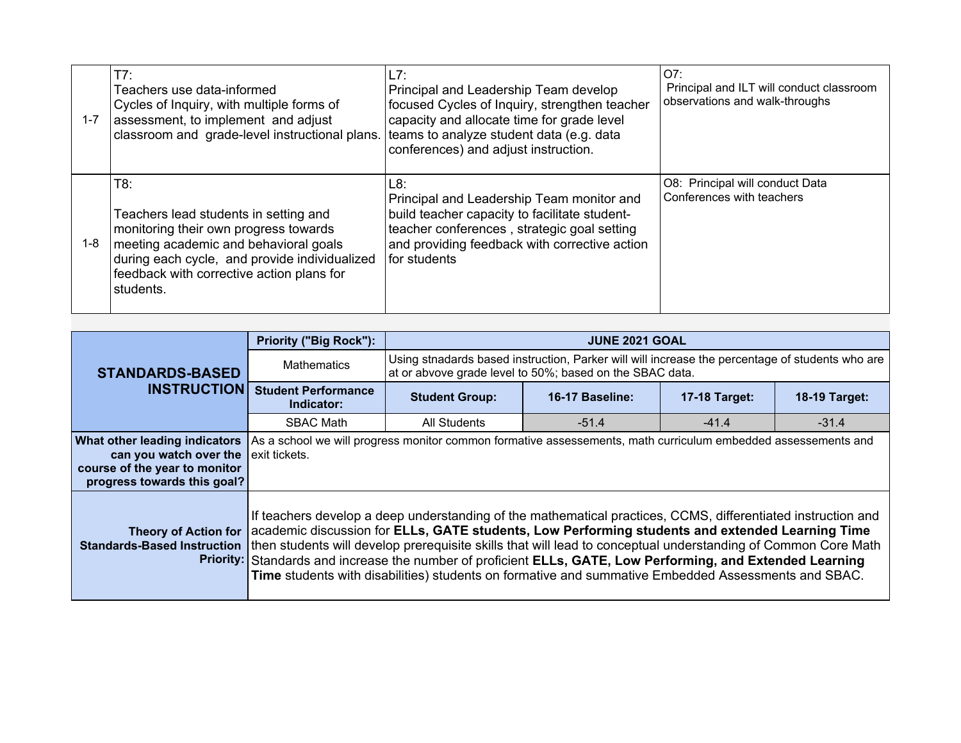| $1 - 7$ | T7:<br>Teachers use data-informed<br>Cycles of Inquiry, with multiple forms of<br>assessment, to implement and adjust<br>classroom and grade-level instructional plans.                                                                   | L7:<br>Principal and Leadership Team develop<br>focused Cycles of Inquiry, strengthen teacher<br>capacity and allocate time for grade level<br>teams to analyze student data (e.g. data<br>conferences) and adjust instruction. | O7:<br>Principal and ILT will conduct classroom<br>observations and walk-throughs |
|---------|-------------------------------------------------------------------------------------------------------------------------------------------------------------------------------------------------------------------------------------------|---------------------------------------------------------------------------------------------------------------------------------------------------------------------------------------------------------------------------------|-----------------------------------------------------------------------------------|
| 1-8     | T8:<br>Teachers lead students in setting and<br>monitoring their own progress towards<br>meeting academic and behavioral goals<br>during each cycle, and provide individualized<br>feedback with corrective action plans for<br>students. | L8:<br>Principal and Leadership Team monitor and<br>build teacher capacity to facilitate student-<br>teacher conferences, strategic goal setting<br>and providing feedback with corrective action<br>for students               | O8: Principal will conduct Data<br>Conferences with teachers                      |

|                                                                                                                         | <b>Priority ("Big Rock"):</b>            | <b>JUNE 2021 GOAL</b>                                                                                                                                                                                                                                                                                                                                                                                                                                                                                                                                  |                                                                                                                                                             |                      |                      |  |
|-------------------------------------------------------------------------------------------------------------------------|------------------------------------------|--------------------------------------------------------------------------------------------------------------------------------------------------------------------------------------------------------------------------------------------------------------------------------------------------------------------------------------------------------------------------------------------------------------------------------------------------------------------------------------------------------------------------------------------------------|-------------------------------------------------------------------------------------------------------------------------------------------------------------|----------------------|----------------------|--|
| <b>STANDARDS-BASED</b>                                                                                                  | <b>Mathematics</b>                       |                                                                                                                                                                                                                                                                                                                                                                                                                                                                                                                                                        | Using stnadards based instruction, Parker will will increase the percentage of students who are<br>at or abvove grade level to 50%; based on the SBAC data. |                      |                      |  |
| <b>INSTRUCTION</b>                                                                                                      | <b>Student Performance</b><br>Indicator: | <b>Student Group:</b>                                                                                                                                                                                                                                                                                                                                                                                                                                                                                                                                  | 16-17 Baseline:                                                                                                                                             | <b>17-18 Target:</b> | <b>18-19 Target:</b> |  |
|                                                                                                                         | <b>SBAC Math</b>                         | All Students                                                                                                                                                                                                                                                                                                                                                                                                                                                                                                                                           | $-51.4$                                                                                                                                                     | $-41.4$              | $-31.4$              |  |
| What other leading indicators<br>can you watch over the<br>course of the year to monitor<br>progress towards this goal? | exit tickets.                            | As a school we will progress monitor common formative assessements, math curriculum embedded assessements and                                                                                                                                                                                                                                                                                                                                                                                                                                          |                                                                                                                                                             |                      |                      |  |
| <b>Theory of Action for</b><br><b>Standards-Based Instruction</b>                                                       |                                          | If teachers develop a deep understanding of the mathematical practices, CCMS, differentiated instruction and<br>academic discussion for ELLs, GATE students, Low Performing students and extended Learning Time<br>then students will develop prerequisite skills that will lead to conceptual understanding of Common Core Math<br>Priority: Standards and increase the number of proficient ELLs, GATE, Low Performing, and Extended Learning<br>Time students with disabilities) students on formative and summative Embedded Assessments and SBAC. |                                                                                                                                                             |                      |                      |  |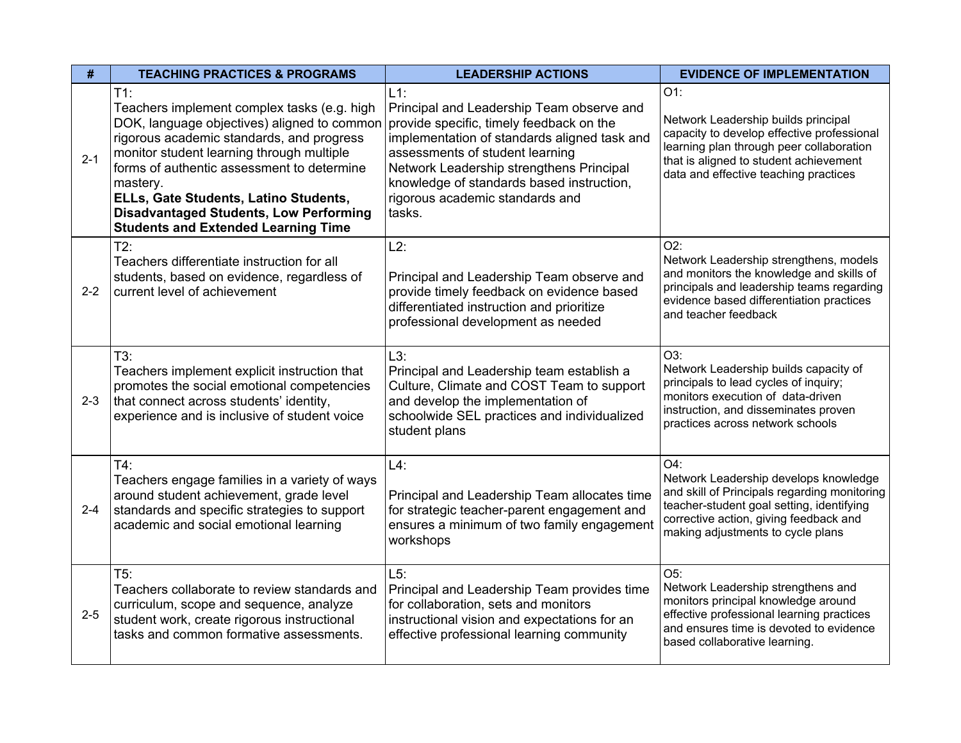| #       | <b>TEACHING PRACTICES &amp; PROGRAMS</b><br><b>LEADERSHIP ACTIONS</b>                                                                                                                                                                                                                                                                                                                            |                                                                                                                                                                                                                                                                                                                          | <b>EVIDENCE OF IMPLEMENTATION</b>                                                                                                                                                                                        |
|---------|--------------------------------------------------------------------------------------------------------------------------------------------------------------------------------------------------------------------------------------------------------------------------------------------------------------------------------------------------------------------------------------------------|--------------------------------------------------------------------------------------------------------------------------------------------------------------------------------------------------------------------------------------------------------------------------------------------------------------------------|--------------------------------------------------------------------------------------------------------------------------------------------------------------------------------------------------------------------------|
| $2 - 1$ | $T1$ :<br>Teachers implement complex tasks (e.g. high<br>DOK, language objectives) aligned to common<br>rigorous academic standards, and progress<br>monitor student learning through multiple<br>forms of authentic assessment to determine<br>mastery.<br>ELLs, Gate Students, Latino Students,<br><b>Disadvantaged Students, Low Performing</b><br><b>Students and Extended Learning Time</b> | $L1$ :<br>Principal and Leadership Team observe and<br>provide specific, timely feedback on the<br>implementation of standards aligned task and<br>assessments of student learning<br>Network Leadership strengthens Principal<br>knowledge of standards based instruction,<br>rigorous academic standards and<br>tasks. | O1:<br>Network Leadership builds principal<br>capacity to develop effective professional<br>learning plan through peer collaboration<br>that is aligned to student achievement<br>data and effective teaching practices  |
| $2 - 2$ | T2:<br>Teachers differentiate instruction for all<br>students, based on evidence, regardless of<br>current level of achievement                                                                                                                                                                                                                                                                  | L2:<br>Principal and Leadership Team observe and<br>provide timely feedback on evidence based<br>differentiated instruction and prioritize<br>professional development as needed                                                                                                                                         | $O2$ :<br>Network Leadership strengthens, models<br>and monitors the knowledge and skills of<br>principals and leadership teams regarding<br>evidence based differentiation practices<br>and teacher feedback            |
| $2 - 3$ | T3:<br>Teachers implement explicit instruction that<br>promotes the social emotional competencies<br>that connect across students' identity,<br>experience and is inclusive of student voice                                                                                                                                                                                                     | $L3$ :<br>Principal and Leadership team establish a<br>Culture, Climate and COST Team to support<br>and develop the implementation of<br>schoolwide SEL practices and individualized<br>student plans                                                                                                                    | O3:<br>Network Leadership builds capacity of<br>principals to lead cycles of inquiry;<br>monitors execution of data-driven<br>instruction, and disseminates proven<br>practices across network schools                   |
| $2 - 4$ | T4:<br>Teachers engage families in a variety of ways<br>around student achievement, grade level<br>standards and specific strategies to support<br>academic and social emotional learning                                                                                                                                                                                                        | $L4$ :<br>Principal and Leadership Team allocates time<br>for strategic teacher-parent engagement and<br>ensures a minimum of two family engagement<br>workshops                                                                                                                                                         | O4:<br>Network Leadership develops knowledge<br>and skill of Principals regarding monitoring<br>teacher-student goal setting, identifying<br>corrective action, giving feedback and<br>making adjustments to cycle plans |
| $2 - 5$ | T5:<br>Teachers collaborate to review standards and<br>curriculum, scope and sequence, analyze<br>student work, create rigorous instructional<br>tasks and common formative assessments.                                                                                                                                                                                                         | L5:<br>Principal and Leadership Team provides time<br>for collaboration, sets and monitors<br>instructional vision and expectations for an<br>effective professional learning community                                                                                                                                  | O5:<br>Network Leadership strengthens and<br>monitors principal knowledge around<br>effective professional learning practices<br>and ensures time is devoted to evidence<br>based collaborative learning.                |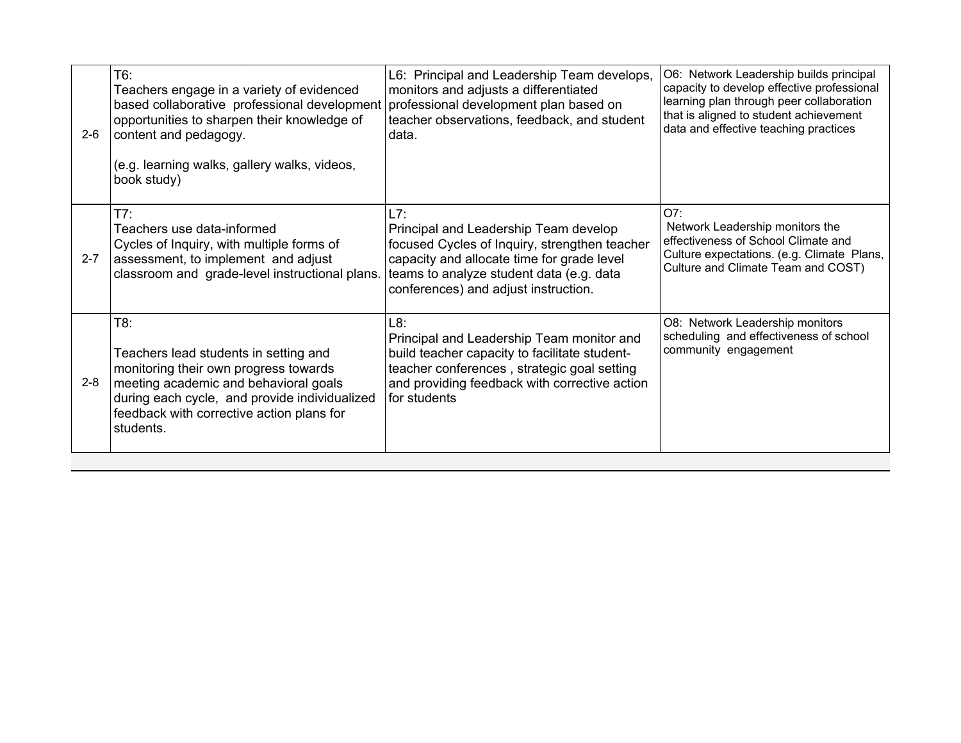| $2 - 6$ | T6:<br>Teachers engage in a variety of evidenced<br>based collaborative professional development<br>opportunities to sharpen their knowledge of<br>content and pedagogy.<br>(e.g. learning walks, gallery walks, videos,<br>book study)   | L6: Principal and Leadership Team develops,<br>monitors and adjusts a differentiated<br>professional development plan based on<br>teacher observations, feedback, and student<br>data.                                          | O6: Network Leadership builds principal<br>capacity to develop effective professional<br>learning plan through peer collaboration<br>that is aligned to student achievement<br>data and effective teaching practices |
|---------|-------------------------------------------------------------------------------------------------------------------------------------------------------------------------------------------------------------------------------------------|---------------------------------------------------------------------------------------------------------------------------------------------------------------------------------------------------------------------------------|----------------------------------------------------------------------------------------------------------------------------------------------------------------------------------------------------------------------|
| $2 - 7$ | T7:<br>Teachers use data-informed<br>Cycles of Inquiry, with multiple forms of<br>assessment, to implement and adjust<br>classroom and grade-level instructional plans.                                                                   | L7:<br>Principal and Leadership Team develop<br>focused Cycles of Inquiry, strengthen teacher<br>capacity and allocate time for grade level<br>teams to analyze student data (e.g. data<br>conferences) and adjust instruction. | O7:<br>Network Leadership monitors the<br>effectiveness of School Climate and<br>Culture expectations. (e.g. Climate Plans,<br>Culture and Climate Team and COST)                                                    |
| $2 - 8$ | T8:<br>Teachers lead students in setting and<br>monitoring their own progress towards<br>meeting academic and behavioral goals<br>during each cycle, and provide individualized<br>feedback with corrective action plans for<br>students. | L8:<br>Principal and Leadership Team monitor and<br>build teacher capacity to facilitate student-<br>teacher conferences, strategic goal setting<br>and providing feedback with corrective action<br>for students               | O8: Network Leadership monitors<br>scheduling and effectiveness of school<br>community engagement                                                                                                                    |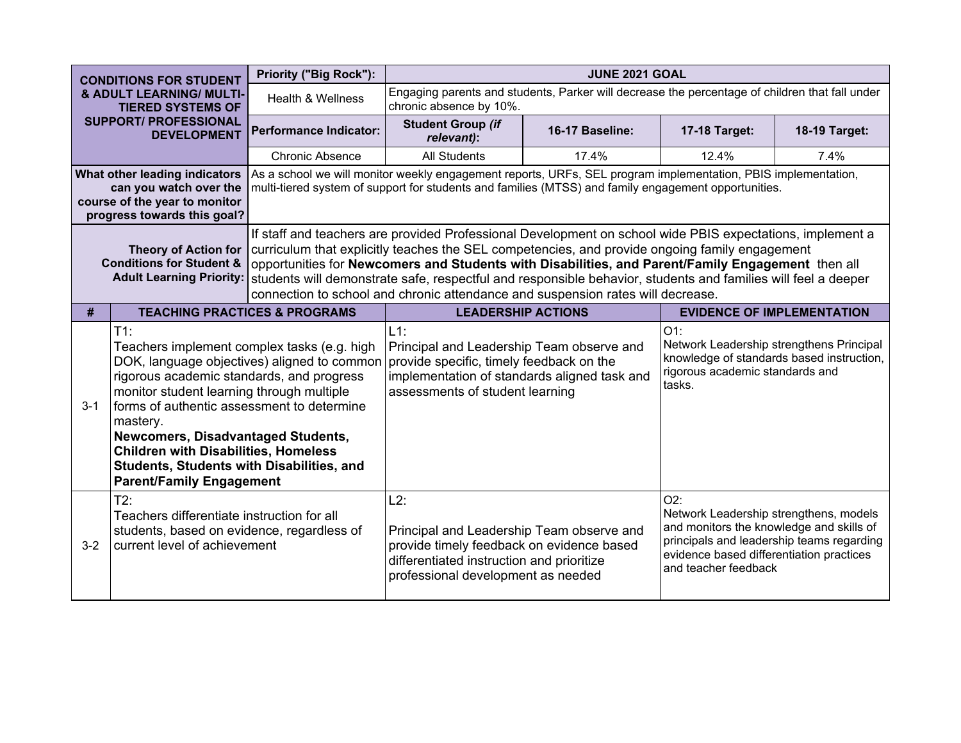|                                                                                                            | <b>CONDITIONS FOR STUDENT</b>                                                                                                                                                                                                                                                                                                                                                                                                 | Priority ("Big Rock"):        |                                                                                                                                                                                    | <b>JUNE 2021 GOAL</b>                                                                                                                                                                                                                                                                                                                                                                                                                                                                                                |                                                                                                                                                                                                            |                                   |  |  |
|------------------------------------------------------------------------------------------------------------|-------------------------------------------------------------------------------------------------------------------------------------------------------------------------------------------------------------------------------------------------------------------------------------------------------------------------------------------------------------------------------------------------------------------------------|-------------------------------|------------------------------------------------------------------------------------------------------------------------------------------------------------------------------------|----------------------------------------------------------------------------------------------------------------------------------------------------------------------------------------------------------------------------------------------------------------------------------------------------------------------------------------------------------------------------------------------------------------------------------------------------------------------------------------------------------------------|------------------------------------------------------------------------------------------------------------------------------------------------------------------------------------------------------------|-----------------------------------|--|--|
| & ADULT LEARNING/ MULTI-<br><b>TIERED SYSTEMS OF</b><br><b>SUPPORT/ PROFESSIONAL</b><br><b>DEVELOPMENT</b> |                                                                                                                                                                                                                                                                                                                                                                                                                               | Health & Wellness             | Engaging parents and students, Parker will decrease the percentage of children that fall under<br>chronic absence by 10%.                                                          |                                                                                                                                                                                                                                                                                                                                                                                                                                                                                                                      |                                                                                                                                                                                                            |                                   |  |  |
|                                                                                                            |                                                                                                                                                                                                                                                                                                                                                                                                                               | <b>Performance Indicator:</b> | <b>Student Group (if</b><br>relevant):                                                                                                                                             | 16-17 Baseline:                                                                                                                                                                                                                                                                                                                                                                                                                                                                                                      | 17-18 Target:                                                                                                                                                                                              | 18-19 Target:                     |  |  |
|                                                                                                            |                                                                                                                                                                                                                                                                                                                                                                                                                               | <b>Chronic Absence</b>        | <b>All Students</b>                                                                                                                                                                | 17.4%                                                                                                                                                                                                                                                                                                                                                                                                                                                                                                                | 12.4%                                                                                                                                                                                                      | 7.4%                              |  |  |
|                                                                                                            | What other leading indicators<br>can you watch over the<br>course of the year to monitor<br>progress towards this goal?                                                                                                                                                                                                                                                                                                       |                               |                                                                                                                                                                                    | As a school we will monitor weekly engagement reports, URFs, SEL program implementation, PBIS implementation,<br>multi-tiered system of support for students and families (MTSS) and family engagement opportunities.                                                                                                                                                                                                                                                                                                |                                                                                                                                                                                                            |                                   |  |  |
|                                                                                                            | <b>Theory of Action for</b><br><b>Conditions for Student &amp;</b><br><b>Adult Learning Priority:</b>                                                                                                                                                                                                                                                                                                                         |                               |                                                                                                                                                                                    | If staff and teachers are provided Professional Development on school wide PBIS expectations, implement a<br>curriculum that explicitly teaches the SEL competencies, and provide ongoing family engagement<br>opportunities for Newcomers and Students with Disabilities, and Parent/Family Engagement then all<br>students will demonstrate safe, respectful and responsible behavior, students and families will feel a deeper<br>connection to school and chronic attendance and suspension rates will decrease. |                                                                                                                                                                                                            |                                   |  |  |
| #                                                                                                          | <b>TEACHING PRACTICES &amp; PROGRAMS</b>                                                                                                                                                                                                                                                                                                                                                                                      |                               | <b>LEADERSHIP ACTIONS</b>                                                                                                                                                          |                                                                                                                                                                                                                                                                                                                                                                                                                                                                                                                      |                                                                                                                                                                                                            | <b>EVIDENCE OF IMPLEMENTATION</b> |  |  |
| $3 - 1$                                                                                                    | $T1$ :<br>Teachers implement complex tasks (e.g. high<br>DOK, language objectives) aligned to common<br>rigorous academic standards, and progress<br>monitor student learning through multiple<br>forms of authentic assessment to determine<br>mastery.<br>Newcomers, Disadvantaged Students,<br><b>Children with Disabilities, Homeless</b><br>Students, Students with Disabilities, and<br><b>Parent/Family Engagement</b> |                               | $L1$ :<br>Principal and Leadership Team observe and<br>provide specific, timely feedback on the<br>implementation of standards aligned task and<br>assessments of student learning |                                                                                                                                                                                                                                                                                                                                                                                                                                                                                                                      | $O1$ :<br>Network Leadership strengthens Principal<br>knowledge of standards based instruction,<br>rigorous academic standards and<br>tasks.                                                               |                                   |  |  |
| $3 - 2$                                                                                                    | $T2$ :<br>Teachers differentiate instruction for all<br>students, based on evidence, regardless of<br>current level of achievement                                                                                                                                                                                                                                                                                            |                               | L2:<br>Principal and Leadership Team observe and<br>provide timely feedback on evidence based<br>differentiated instruction and prioritize<br>professional development as needed   |                                                                                                                                                                                                                                                                                                                                                                                                                                                                                                                      | O2:<br>Network Leadership strengthens, models<br>and monitors the knowledge and skills of<br>principals and leadership teams regarding<br>evidence based differentiation practices<br>and teacher feedback |                                   |  |  |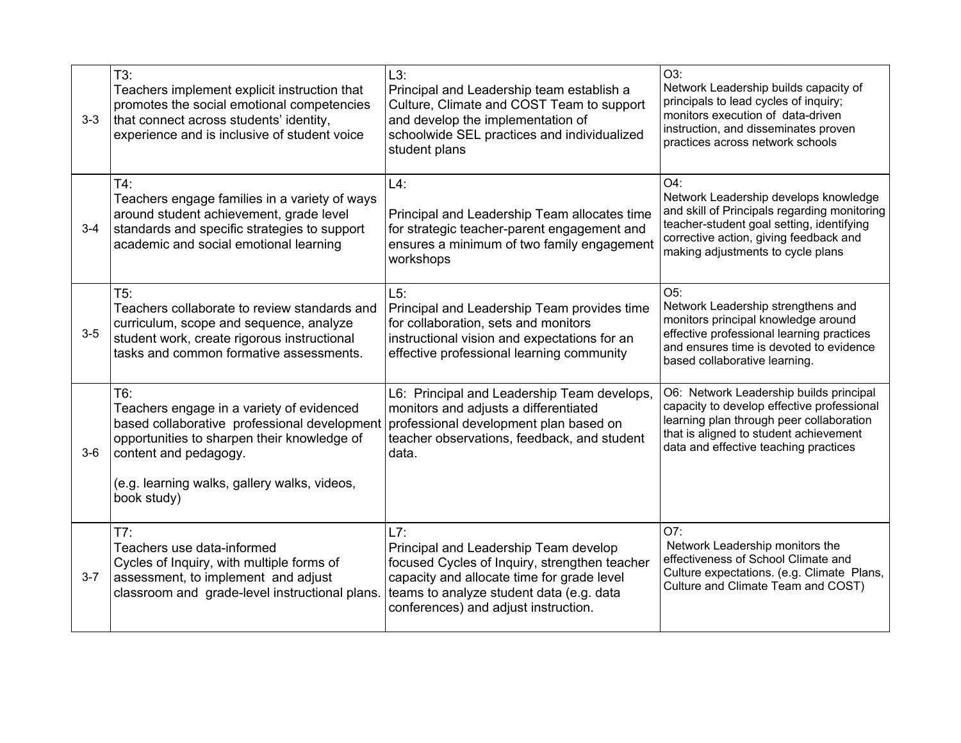| $3-3$   | T3:<br>Teachers implement explicit instruction that<br>promotes the social emotional competencies<br>that connect across students' identity,<br>experience and is inclusive of student voice                                            | L3:<br>Principal and Leadership team establish a<br>Culture, Climate and COST Team to support<br>and develop the implementation of<br>schoolwide SEL practices and individualized<br>student plans                              | O3:<br>Network Leadership builds capacity of<br>principals to lead cycles of inquiry;<br>monitors execution of data-driven<br>instruction, and disseminates proven<br>practices across network schools                   |
|---------|-----------------------------------------------------------------------------------------------------------------------------------------------------------------------------------------------------------------------------------------|---------------------------------------------------------------------------------------------------------------------------------------------------------------------------------------------------------------------------------|--------------------------------------------------------------------------------------------------------------------------------------------------------------------------------------------------------------------------|
| $3 - 4$ | $T4$ :<br>Teachers engage families in a variety of ways<br>around student achievement, grade level<br>standards and specific strategies to support<br>academic and social emotional learning                                            | $L4$ :<br>Principal and Leadership Team allocates time<br>for strategic teacher-parent engagement and<br>ensures a minimum of two family engagement<br>workshops                                                                | O4:<br>Network Leadership develops knowledge<br>and skill of Principals regarding monitoring<br>teacher-student goal setting, identifying<br>corrective action, giving feedback and<br>making adjustments to cycle plans |
| $3-5$   | T5:<br>Teachers collaborate to review standards and<br>curriculum, scope and sequence, analyze<br>student work, create rigorous instructional<br>tasks and common formative assessments.                                                | L5:<br>Principal and Leadership Team provides time<br>for collaboration, sets and monitors<br>instructional vision and expectations for an<br>effective professional learning community                                         | O5:<br>Network Leadership strengthens and<br>monitors principal knowledge around<br>effective professional learning practices<br>and ensures time is devoted to evidence<br>based collaborative learning.                |
| $3-6$   | T6:<br>Teachers engage in a variety of evidenced<br>based collaborative professional development<br>opportunities to sharpen their knowledge of<br>content and pedagogy.<br>(e.g. learning walks, gallery walks, videos,<br>book study) | L6: Principal and Leadership Team develops,<br>monitors and adjusts a differentiated<br>professional development plan based on<br>teacher observations, feedback, and student<br>data.                                          | O6: Network Leadership builds principal<br>capacity to develop effective professional<br>learning plan through peer collaboration<br>that is aligned to student achievement<br>data and effective teaching practices     |
| $3 - 7$ | T7:<br>Teachers use data-informed<br>Cycles of Inquiry, with multiple forms of<br>assessment, to implement and adjust<br>classroom and grade-level instructional plans                                                                  | L7:<br>Principal and Leadership Team develop<br>focused Cycles of Inquiry, strengthen teacher<br>capacity and allocate time for grade level<br>teams to analyze student data (e.g. data<br>conferences) and adjust instruction. | O7:<br>Network Leadership monitors the<br>effectiveness of School Climate and<br>Culture expectations. (e.g. Climate Plans,<br>Culture and Climate Team and COST)                                                        |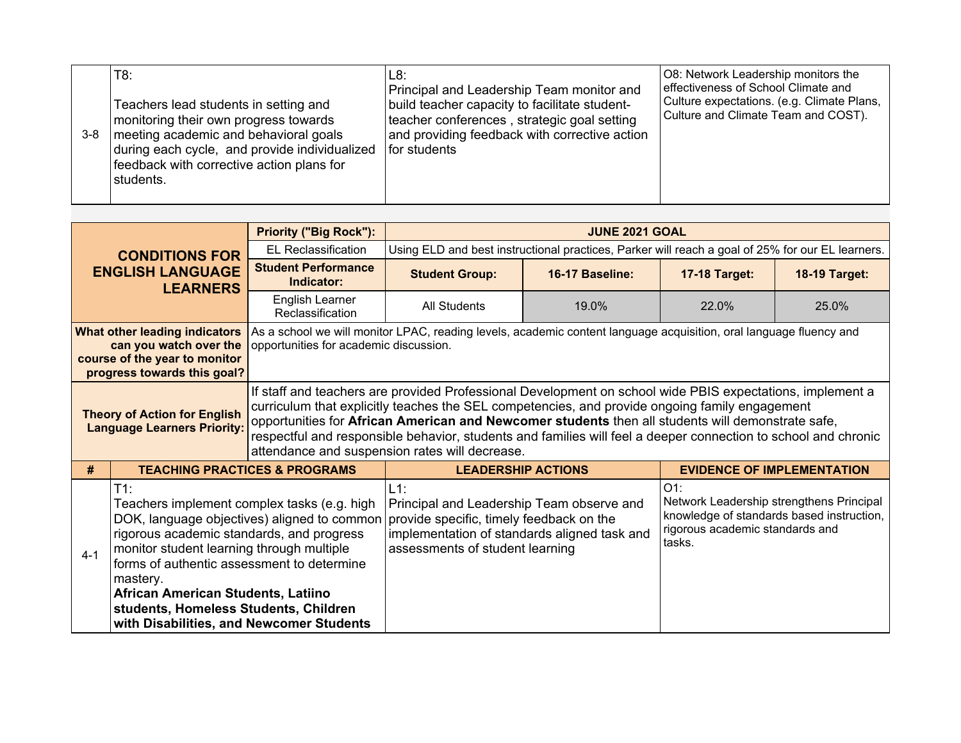| $3 - 8$ | T8:<br>Teachers lead students in setting and<br>monitoring their own progress towards<br>meeting academic and behavioral goals<br>during each cycle, and provide individualized<br>feedback with corrective action plans for<br>students. | IL8:<br>Principal and Leadership Team monitor and<br>build teacher capacity to facilitate student-<br>teacher conferences, strategic goal setting<br>and providing feedback with corrective action<br>for students | O8: Network Leadership monitors the<br>effectiveness of School Climate and<br>Culture expectations. (e.g. Climate Plans,<br>Culture and Climate Team and COST). |
|---------|-------------------------------------------------------------------------------------------------------------------------------------------------------------------------------------------------------------------------------------------|--------------------------------------------------------------------------------------------------------------------------------------------------------------------------------------------------------------------|-----------------------------------------------------------------------------------------------------------------------------------------------------------------|
|---------|-------------------------------------------------------------------------------------------------------------------------------------------------------------------------------------------------------------------------------------------|--------------------------------------------------------------------------------------------------------------------------------------------------------------------------------------------------------------------|-----------------------------------------------------------------------------------------------------------------------------------------------------------------|

|                                                                           |                                                                                                                                                                                                                                                                                                                                                                                     | <b>Priority ("Big Rock"):</b>                                                                                                                                                                                                                                                                                                                                                                                                                                                        | <b>JUNE 2021 GOAL</b>                                                                                                                                                              |                                                                                                  |                                                                                                                                              |                                   |  |  |
|---------------------------------------------------------------------------|-------------------------------------------------------------------------------------------------------------------------------------------------------------------------------------------------------------------------------------------------------------------------------------------------------------------------------------------------------------------------------------|--------------------------------------------------------------------------------------------------------------------------------------------------------------------------------------------------------------------------------------------------------------------------------------------------------------------------------------------------------------------------------------------------------------------------------------------------------------------------------------|------------------------------------------------------------------------------------------------------------------------------------------------------------------------------------|--------------------------------------------------------------------------------------------------|----------------------------------------------------------------------------------------------------------------------------------------------|-----------------------------------|--|--|
|                                                                           | <b>CONDITIONS FOR</b>                                                                                                                                                                                                                                                                                                                                                               | <b>EL Reclassification</b>                                                                                                                                                                                                                                                                                                                                                                                                                                                           |                                                                                                                                                                                    | Using ELD and best instructional practices, Parker will reach a goal of 25% for our EL learners. |                                                                                                                                              |                                   |  |  |
|                                                                           | <b>ENGLISH LANGUAGE</b><br><b>LEARNERS</b>                                                                                                                                                                                                                                                                                                                                          | <b>Student Performance</b><br>Indicator:                                                                                                                                                                                                                                                                                                                                                                                                                                             | <b>Student Group:</b>                                                                                                                                                              | 16-17 Baseline:                                                                                  | <b>17-18 Target:</b>                                                                                                                         | <b>18-19 Target:</b>              |  |  |
|                                                                           |                                                                                                                                                                                                                                                                                                                                                                                     | English Learner<br>Reclassification                                                                                                                                                                                                                                                                                                                                                                                                                                                  | All Students                                                                                                                                                                       | 19.0%                                                                                            | 22.0%                                                                                                                                        | 25.0%                             |  |  |
|                                                                           | What other leading indicators<br>can you watch over the<br>course of the year to monitor<br>progress towards this goal?                                                                                                                                                                                                                                                             | opportunities for academic discussion.                                                                                                                                                                                                                                                                                                                                                                                                                                               | As a school we will monitor LPAC, reading levels, academic content language acquisition, oral language fluency and                                                                 |                                                                                                  |                                                                                                                                              |                                   |  |  |
| <b>Theory of Action for English</b><br><b>Language Learners Priority:</b> |                                                                                                                                                                                                                                                                                                                                                                                     | If staff and teachers are provided Professional Development on school wide PBIS expectations, implement a<br>curriculum that explicitly teaches the SEL competencies, and provide ongoing family engagement<br>opportunities for African American and Newcomer students then all students will demonstrate safe,<br>respectful and responsible behavior, students and families will feel a deeper connection to school and chronic<br>attendance and suspension rates will decrease. |                                                                                                                                                                                    |                                                                                                  |                                                                                                                                              |                                   |  |  |
| #                                                                         |                                                                                                                                                                                                                                                                                                                                                                                     | <b>TEACHING PRACTICES &amp; PROGRAMS</b>                                                                                                                                                                                                                                                                                                                                                                                                                                             | <b>LEADERSHIP ACTIONS</b>                                                                                                                                                          |                                                                                                  |                                                                                                                                              | <b>EVIDENCE OF IMPLEMENTATION</b> |  |  |
| $4 - 1$                                                                   | $T1$ :<br>Teachers implement complex tasks (e.g. high<br>DOK, language objectives) aligned to common<br>rigorous academic standards, and progress<br>monitor student learning through multiple<br>forms of authentic assessment to determine<br>mastery.<br>African American Students, Latiino<br>students, Homeless Students, Children<br>with Disabilities, and Newcomer Students |                                                                                                                                                                                                                                                                                                                                                                                                                                                                                      | $L1$ :<br>Principal and Leadership Team observe and<br>provide specific, timely feedback on the<br>implementation of standards aligned task and<br>assessments of student learning |                                                                                                  | $O1$ :<br>Network Leadership strengthens Principal<br>knowledge of standards based instruction,<br>rigorous academic standards and<br>tasks. |                                   |  |  |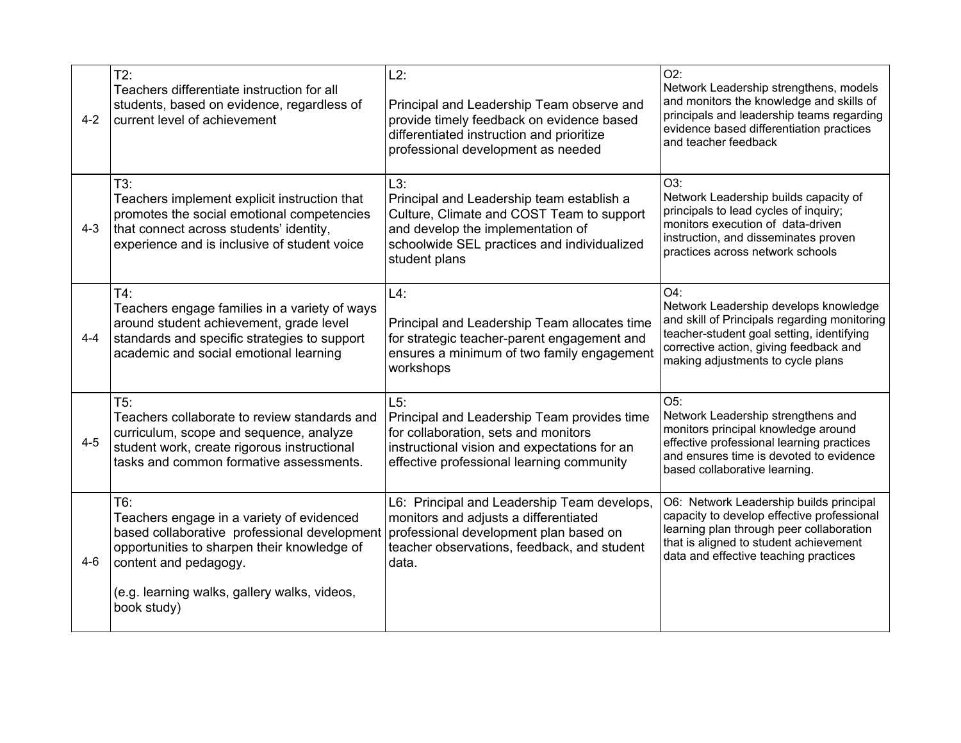| $4 - 2$ | $T2$ :<br>Teachers differentiate instruction for all<br>students, based on evidence, regardless of<br>current level of achievement                                                           | $L2$ :<br>Principal and Leadership Team observe and<br>provide timely feedback on evidence based<br>differentiated instruction and prioritize<br>professional development as needed                | $O2$ :<br>Network Leadership strengthens, models<br>and monitors the knowledge and skills of<br>principals and leadership teams regarding<br>evidence based differentiation practices<br>and teacher feedback               |
|---------|----------------------------------------------------------------------------------------------------------------------------------------------------------------------------------------------|----------------------------------------------------------------------------------------------------------------------------------------------------------------------------------------------------|-----------------------------------------------------------------------------------------------------------------------------------------------------------------------------------------------------------------------------|
| $4 - 3$ | T3:<br>Teachers implement explicit instruction that<br>promotes the social emotional competencies<br>that connect across students' identity,<br>experience and is inclusive of student voice | L3:<br>Principal and Leadership team establish a<br>Culture, Climate and COST Team to support<br>and develop the implementation of<br>schoolwide SEL practices and individualized<br>student plans | O3:<br>Network Leadership builds capacity of<br>principals to lead cycles of inquiry;<br>monitors execution of data-driven<br>instruction, and disseminates proven<br>practices across network schools                      |
| $4 - 4$ | $T4$ :<br>Teachers engage families in a variety of ways<br>around student achievement, grade level<br>standards and specific strategies to support<br>academic and social emotional learning | $L4$ :<br>Principal and Leadership Team allocates time<br>for strategic teacher-parent engagement and<br>ensures a minimum of two family engagement<br>workshops                                   | $O4$ :<br>Network Leadership develops knowledge<br>and skill of Principals regarding monitoring<br>teacher-student goal setting, identifying<br>corrective action, giving feedback and<br>making adjustments to cycle plans |
| $4 - 5$ | T5:<br>Teachers collaborate to review standards and<br>curriculum, scope and sequence, analyze<br>student work, create rigorous instructional<br>tasks and common formative assessments.     | L5:<br>Principal and Leadership Team provides time<br>for collaboration, sets and monitors<br>instructional vision and expectations for an<br>effective professional learning community            | $O5$ :<br>Network Leadership strengthens and<br>monitors principal knowledge around<br>effective professional learning practices<br>and ensures time is devoted to evidence<br>based collaborative learning.                |
| $4 - 6$ | T6:<br>Teachers engage in a variety of evidenced<br>based collaborative professional development<br>opportunities to sharpen their knowledge of<br>content and pedagogy.                     | L6: Principal and Leadership Team develops,<br>monitors and adjusts a differentiated<br>professional development plan based on<br>teacher observations, feedback, and student<br>data.             | O6: Network Leadership builds principal<br>capacity to develop effective professional<br>learning plan through peer collaboration<br>that is aligned to student achievement<br>data and effective teaching practices        |
|         | (e.g. learning walks, gallery walks, videos,<br>book study)                                                                                                                                  |                                                                                                                                                                                                    |                                                                                                                                                                                                                             |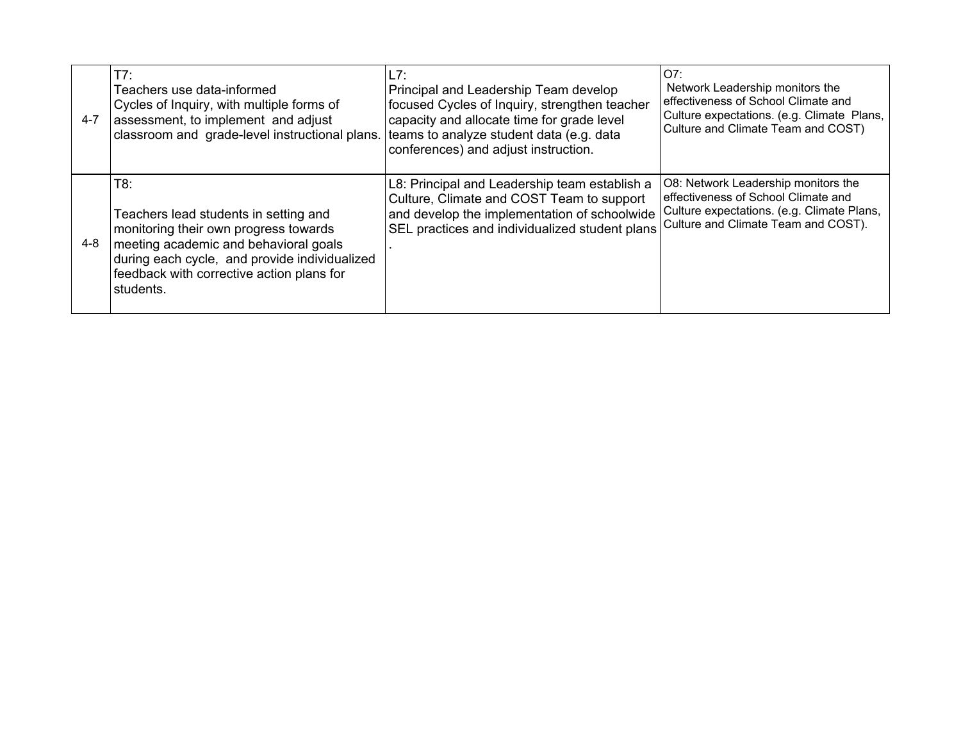| $4 - 7$ | T7:<br>Teachers use data-informed<br>Cycles of Inquiry, with multiple forms of<br>assessment, to implement and adjust<br>classroom and grade-level instructional plans.                                                                   | L7:<br>Principal and Leadership Team develop<br>focused Cycles of Inquiry, strengthen teacher<br>capacity and allocate time for grade level<br>teams to analyze student data (e.g. data<br>conferences) and adjust instruction. | O7:<br>Network Leadership monitors the<br>effectiveness of School Climate and<br>Culture expectations. (e.g. Climate Plans,<br>Culture and Climate Team and COST) |
|---------|-------------------------------------------------------------------------------------------------------------------------------------------------------------------------------------------------------------------------------------------|---------------------------------------------------------------------------------------------------------------------------------------------------------------------------------------------------------------------------------|-------------------------------------------------------------------------------------------------------------------------------------------------------------------|
| 4-8     | T8:<br>Teachers lead students in setting and<br>monitoring their own progress towards<br>meeting academic and behavioral goals<br>during each cycle, and provide individualized<br>feedback with corrective action plans for<br>students. | L8: Principal and Leadership team establish a<br>Culture, Climate and COST Team to support<br>and develop the implementation of schoolwide<br>SEL practices and individualized student plans                                    | O8: Network Leadership monitors the<br>effectiveness of School Climate and<br>Culture expectations. (e.g. Climate Plans,<br>Culture and Climate Team and COST).   |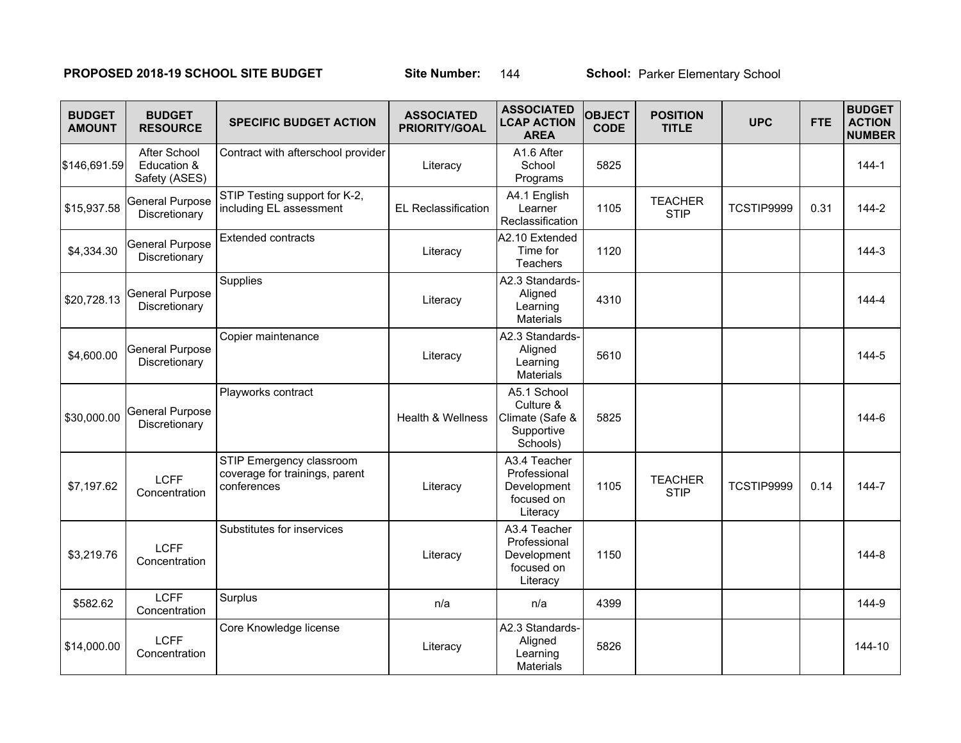### **PROPOSED 2018-19 SCHOOL SITE BUDGET Site Number: 144 School: Parker Elementary School:**

| <b>BUDGET</b><br><b>AMOUNT</b> | <b>BUDGET</b><br><b>RESOURCE</b>             | <b>SPECIFIC BUDGET ACTION</b>                                             | <b>ASSOCIATED</b><br><b>PRIORITY/GOAL</b> | <b>ASSOCIATED</b><br><b>LCAP ACTION</b><br><b>AREA</b>                | <b>OBJECT</b><br><b>CODE</b> | <b>POSITION</b><br><b>TITLE</b> | <b>UPC</b> | <b>FTE</b> | <b>BUDGET</b><br><b>ACTION</b><br><b>NUMBER</b> |
|--------------------------------|----------------------------------------------|---------------------------------------------------------------------------|-------------------------------------------|-----------------------------------------------------------------------|------------------------------|---------------------------------|------------|------------|-------------------------------------------------|
| \$146,691.59                   | After School<br>Education &<br>Safety (ASES) | Contract with afterschool provider                                        | Literacy                                  | A1.6 After<br>School<br>Programs                                      | 5825                         |                                 |            |            | $144 - 1$                                       |
| \$15,937.58                    | <b>General Purpose</b><br>Discretionary      | STIP Testing support for K-2,<br>including EL assessment                  | <b>EL Reclassification</b>                | A4.1 English<br>Learner<br>Reclassification                           | 1105                         | <b>TEACHER</b><br><b>STIP</b>   | TCSTIP9999 | 0.31       | $144 - 2$                                       |
| \$4,334.30                     | <b>General Purpose</b><br>Discretionary      | <b>Extended contracts</b>                                                 | Literacy                                  | A2.10 Extended<br>Time for<br>Teachers                                | 1120                         |                                 |            |            | $144-3$                                         |
| \$20,728.13                    | <b>General Purpose</b><br>Discretionary      | Supplies                                                                  | Literacy                                  | A2.3 Standards-<br>Aligned<br>Learning<br><b>Materials</b>            | 4310                         |                                 |            |            | $144 - 4$                                       |
| \$4,600.00                     | <b>General Purpose</b><br>Discretionary      | Copier maintenance                                                        | Literacy                                  | A2.3 Standards-<br>Aligned<br>Learning<br><b>Materials</b>            | 5610                         |                                 |            |            | 144-5                                           |
| \$30,000.00                    | <b>General Purpose</b><br>Discretionary      | Playworks contract                                                        | Health & Wellness                         | A5.1 School<br>Culture &<br>Climate (Safe &<br>Supportive<br>Schools) | 5825                         |                                 |            |            | 144-6                                           |
| \$7,197.62                     | <b>LCFF</b><br>Concentration                 | STIP Emergency classroom<br>coverage for trainings, parent<br>conferences | Literacy                                  | A3.4 Teacher<br>Professional<br>Development<br>focused on<br>Literacy | 1105                         | <b>TEACHER</b><br><b>STIP</b>   | TCSTIP9999 | 0.14       | 144-7                                           |
| \$3,219.76                     | <b>LCFF</b><br>Concentration                 | Substitutes for inservices                                                | Literacy                                  | A3.4 Teacher<br>Professional<br>Development<br>focused on<br>Literacy | 1150                         |                                 |            |            | 144-8                                           |
| \$582.62                       | <b>LCFF</b><br>Concentration                 | Surplus                                                                   | n/a                                       | n/a                                                                   | 4399                         |                                 |            |            | 144-9                                           |
| \$14,000.00                    | <b>LCFF</b><br>Concentration                 | Core Knowledge license                                                    | Literacy                                  | A2.3 Standards-<br>Aligned<br>Learning<br><b>Materials</b>            | 5826                         |                                 |            |            | 144-10                                          |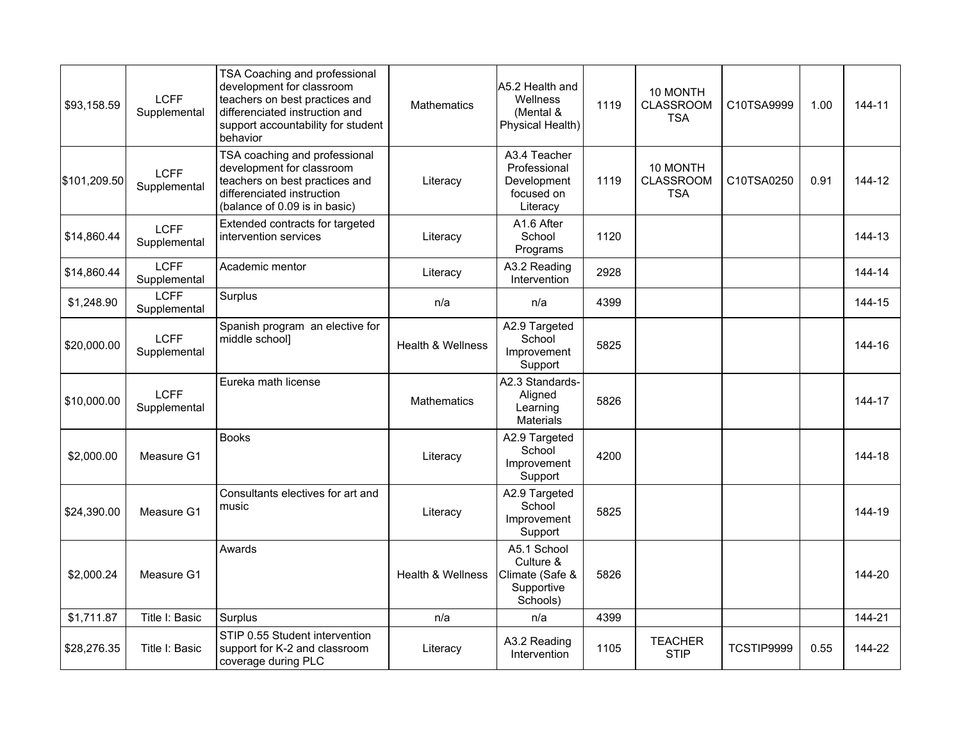| \$93,158.59  | <b>LCFF</b><br>Supplemental | TSA Coaching and professional<br>development for classroom<br>teachers on best practices and<br>differenciated instruction and<br>support accountability for student<br>behavior | <b>Mathematics</b>           | A5.2 Health and<br>Wellness<br>(Mental &<br>Physical Health)          | 1119 | 10 MONTH<br><b>CLASSROOM</b><br><b>TSA</b> | C10TSA9999 | 1.00 | 144-11 |
|--------------|-----------------------------|----------------------------------------------------------------------------------------------------------------------------------------------------------------------------------|------------------------------|-----------------------------------------------------------------------|------|--------------------------------------------|------------|------|--------|
| \$101,209.50 | <b>LCFF</b><br>Supplemental | TSA coaching and professional<br>development for classroom<br>teachers on best practices and<br>differenciated instruction<br>(balance of 0.09 is in basic)                      | Literacy                     | A3.4 Teacher<br>Professional<br>Development<br>focused on<br>Literacy | 1119 | 10 MONTH<br><b>CLASSROOM</b><br><b>TSA</b> | C10TSA0250 | 0.91 | 144-12 |
| \$14,860.44  | <b>LCFF</b><br>Supplemental | Extended contracts for targeted<br>intervention services                                                                                                                         | Literacy                     | A1.6 After<br>School<br>Programs                                      | 1120 |                                            |            |      | 144-13 |
| \$14,860.44  | <b>LCFF</b><br>Supplemental | Academic mentor                                                                                                                                                                  | Literacy                     | A3.2 Reading<br>Intervention                                          | 2928 |                                            |            |      | 144-14 |
| \$1,248.90   | <b>LCFF</b><br>Supplemental | Surplus                                                                                                                                                                          | n/a                          | n/a                                                                   | 4399 |                                            |            |      | 144-15 |
| \$20,000.00  | <b>LCFF</b><br>Supplemental | Spanish program an elective for<br>middle school]                                                                                                                                | <b>Health &amp; Wellness</b> | A2.9 Targeted<br>School<br>Improvement<br>Support                     | 5825 |                                            |            |      | 144-16 |
| \$10,000.00  | <b>LCFF</b><br>Supplemental | Eureka math license                                                                                                                                                              | <b>Mathematics</b>           | A2.3 Standards-<br>Aligned<br>Learning<br>Materials                   | 5826 |                                            |            |      | 144-17 |
| \$2,000.00   | Measure G1                  | <b>Books</b>                                                                                                                                                                     | Literacy                     | A2.9 Targeted<br>School<br>Improvement<br>Support                     | 4200 |                                            |            |      | 144-18 |
| \$24,390.00  | Measure G1                  | Consultants electives for art and<br>music                                                                                                                                       | Literacy                     | A2.9 Targeted<br>School<br>Improvement<br>Support                     | 5825 |                                            |            |      | 144-19 |
| \$2,000.24   | Measure G1                  | Awards                                                                                                                                                                           | Health & Wellness            | A5.1 School<br>Culture &<br>Climate (Safe &<br>Supportive<br>Schools) | 5826 |                                            |            |      | 144-20 |
| \$1,711.87   | Title I: Basic              | Surplus                                                                                                                                                                          | n/a                          | n/a                                                                   | 4399 |                                            |            |      | 144-21 |
| \$28,276.35  | Title I: Basic              | STIP 0.55 Student intervention<br>support for K-2 and classroom<br>coverage during PLC                                                                                           | Literacy                     | A3.2 Reading<br>Intervention                                          | 1105 | <b>TEACHER</b><br><b>STIP</b>              | TCSTIP9999 | 0.55 | 144-22 |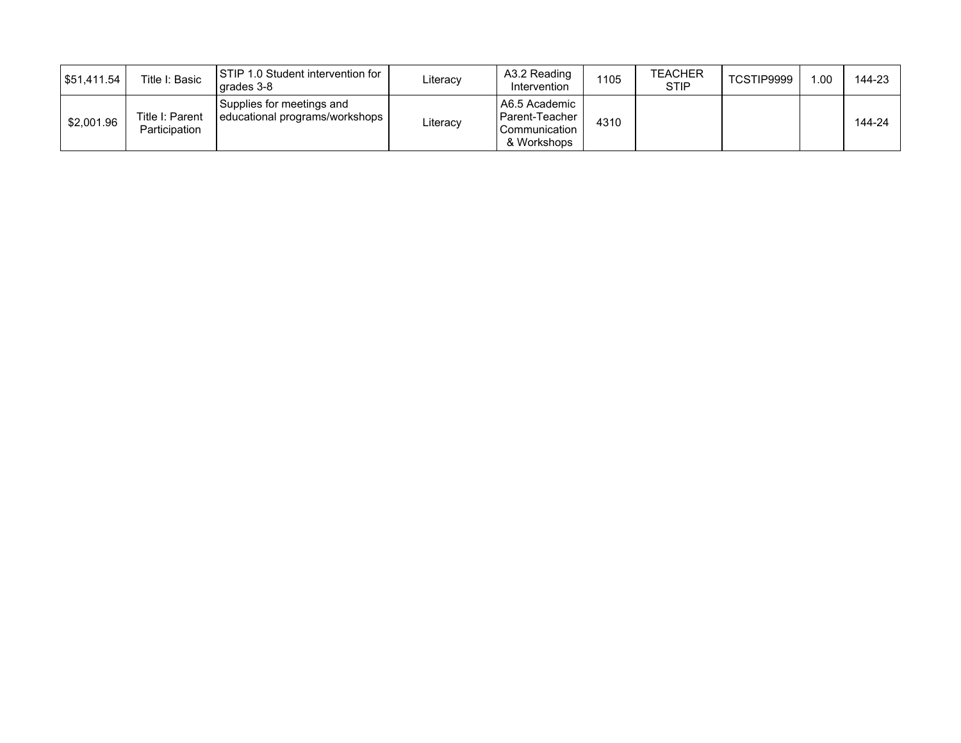| 551.411.54 | Title I: Basic                   | ISTIP 1.0 Student intervention for<br>l arades 3-8            | Literacv | A3.2 Reading<br>Intervention                                      | 1105 | <b>TEACHER</b><br><b>STIP</b> | TCSTIP9999 | .00 | 144-23 |
|------------|----------------------------------|---------------------------------------------------------------|----------|-------------------------------------------------------------------|------|-------------------------------|------------|-----|--------|
| \$2,001.96 | Title I: Parent<br>Participation | Supplies for meetings and<br>  educational programs/workshops | Literacy | l A6.5 Academic<br>Parent-Teacher<br>Communication<br>& Workshops | 4310 |                               |            |     | 144-24 |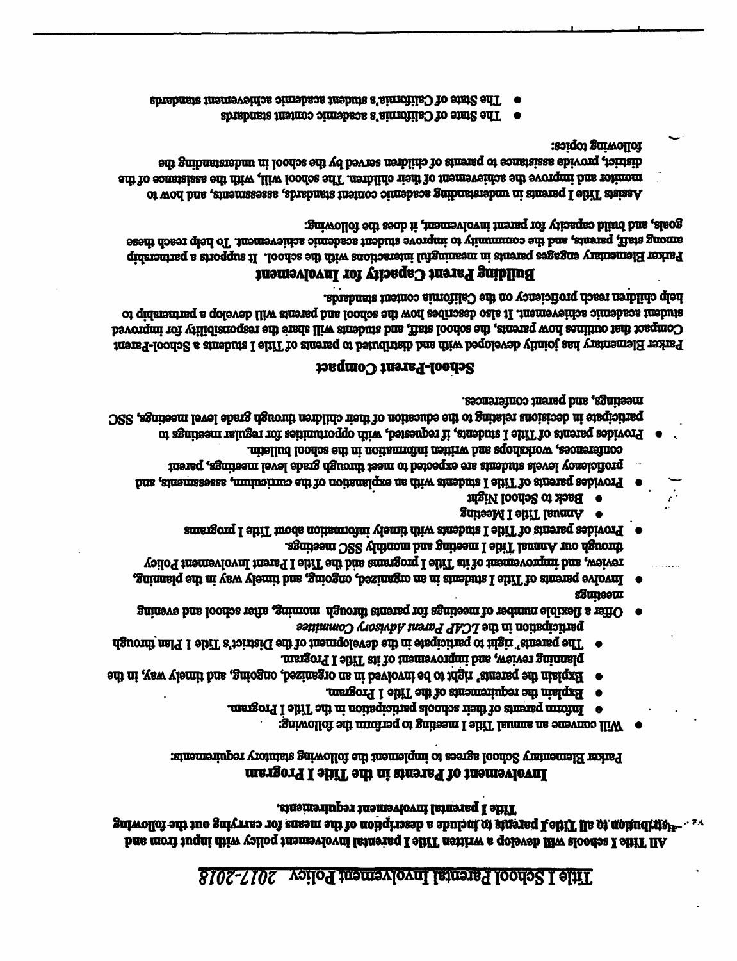## Title I School Parental Involvement Policy 2017-2018

### Title I parental involvement requirements. All Title I schools will develop a written Title I parental involvement policy with input from and

### Involvement of Parents in the Title I Program

Parker Elementary School agrees to implement the following statutory requirements:

- Will convene an annual Title I meeting to perform the following:
- Inform parents of their schools participation in the Title I Program.  $\bullet$
- Explain the requirements of the Title 1 Program.
- Explain the parents' right to be involved in an organized, ongoing, and timely way, in the
- The parents" right to participate in the development of the Kirler's Title 1 Plan through planning review, and improvement of its Title I Program.
- sSunsou Offer a flexible number of meetings for parents through moming, after school and evening participation in the LCAP Parent Advisory Committee
- through our Amual Title I meeting and monthly SSC meetings. voilo I nemerovament of its Title I programs and the Title I Parent hovolvement Policy Enimasiq edi ni yaw ylemii bina ganizeo, besinagno na ni anehma I ehiT to aineng eviovni
- Provides parents of Title I students with timely include node about Title I programs
- Annual Title I Meeting
- Back to School Night
- proficiency levels students are expected to meet through grade level meetings, parent Provides parents of Title I students with an explanation of the curriculum, assessments, and
- conferences, worldshops and written information in the school bulletin.
- meetings, and parent conferences. participato in decisions relating to the education of their children through grade level mectings, SSC Provides parents of Title I students, if requested, with opportunities for regular meetings to

### **School-Parant Compact**

help children reach proficiency on the California content standards. co quisnaming a qoleveb lliw annerg him loodos ent word sedinessb oals it .imameveidos a imebasa imebios Compact that outlines how parent , the school staff, and students will share the responsibility for improved Parker Elementary has jointie developed with and distributed to parents of Title I students a School-Parent

### Building Parent Capacity for Involvement

goals, and build capacity for parent involvement, it does the following: among staff, parents, and the community to improve student academic achievement. To help reach these Parker Elementary engages parents in meaningful interactions with the school. It supports a partnership

following topics: differior, provide assistance to parent of children served by the school in understanding the monitor and improve the achievement of their children. The school will, with the assistance of the Assists Title I parents in understanding accademic content in almostass, as assessments, and how to

- The State of California's academic content standards
- The State of California's student academy achievement standards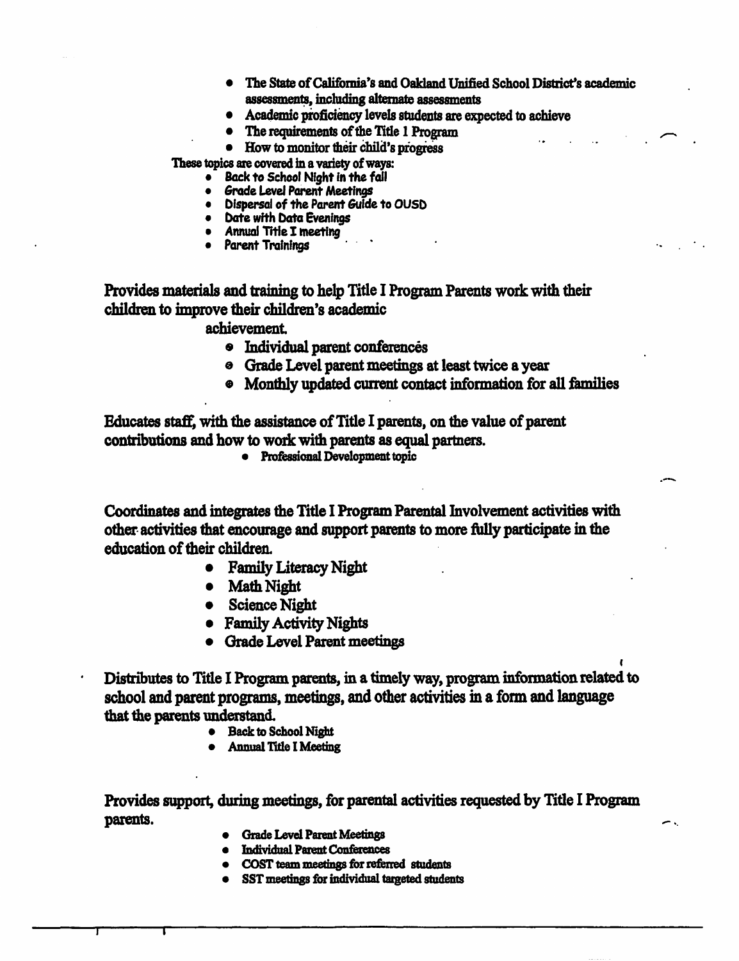- The State of California's and Oakland Unified School District's academic assessments, including alternate assessments
- Academic proficiency levels students are expected to achieve
- The requirements of the Title 1 Program
- How to monitor their child's progress

These topics are covered in a variety of ways:

- Back to School Night in the fall
- Grade Level Parent Meetings
- Dispersal of the Parent Guide to OUSD
- Date with Data Eveninas
- Annual Title I meeting
- Parent Trainings

Provides materials and training to help Title I Program Parents work with their children to improve their children's academic

achievement.

- · Individual parent conferences
- <sup>e</sup> Grade Level parent meetings at least twice a year
- Monthly updated current contact information for all families

Educates staff, with the assistance of Title I parents, on the value of parent contributions and how to work with parents as equal partners.

• Professional Development topic

Coordinates and integrates the Title I Program Parental Involvement activities with other activities that encourage and support parents to more fully participate in the education of their children.

- **Family Literacy Night**  $\bullet$
- Math Night
- Science Night
- Family Activity Nights
- Grade Level Parent meetings

Distributes to Title I Program parents, in a timely way, program information related to school and parent programs, meetings, and other activities in a form and language that the parents understand.

- Back to School Night
- **Annual Title I Meeting**

Provides support, during meetings, for parental activities requested by Title I Program parents.

- **Grade Level Parent Meetings**
- **Individual Parent Conferences**
- COST team meetings for referred students
- SST meetings for individual targeted students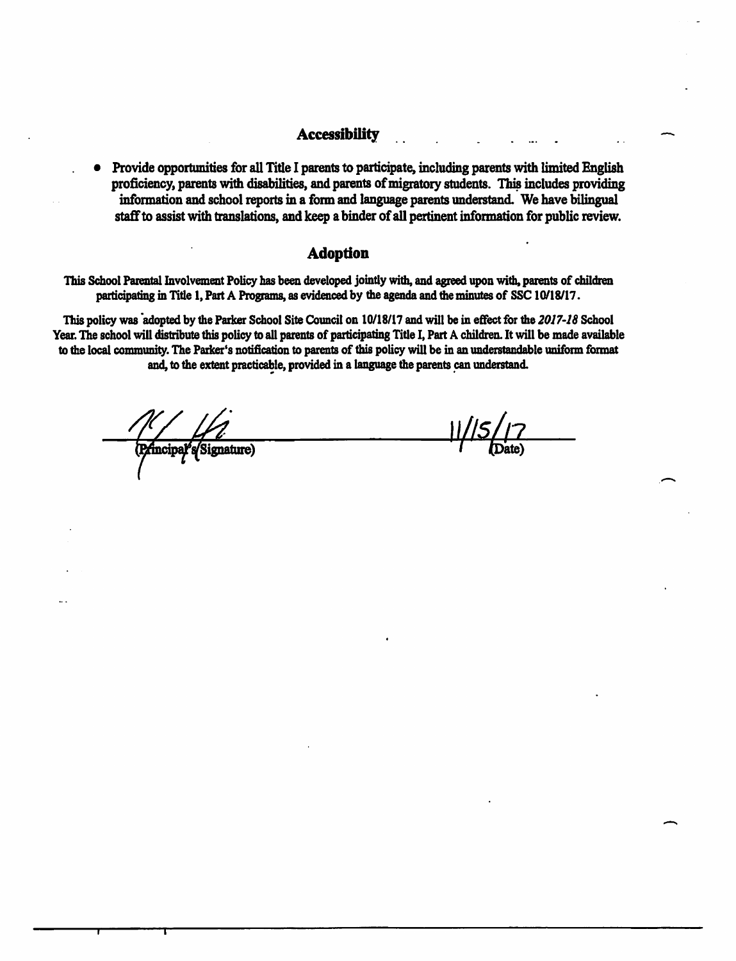### **Accessibility**

• Provide opportunities for all Title I parents to participate, including parents with limited English proficiency, parents with disabilities, and parents of migratory students. This includes providing information and school reports in a form and language parents understand. We have bilingual staff to assist with translations, and keep a binder of all pertinent information for public review.

### **Adoption**

This School Parental Involvement Policy has been developed jointly with, and agreed upon with, parents of children participating in Title 1, Part A Programs, as evidenced by the agenda and the minutes of SSC 10/18/17.

This policy was adopted by the Parker School Site Council on 10/18/17 and will be in effect for the 2017-18 School Year. The school will distribute this policy to all parents of participating Title I, Part A children. It will be made available to the local community. The Parker's notification to parents of this policy will be in an understandable uniform format and, to the extent practicable, provided in a language the parents can understand.

ncipal<sup>5</sup>s/Signature)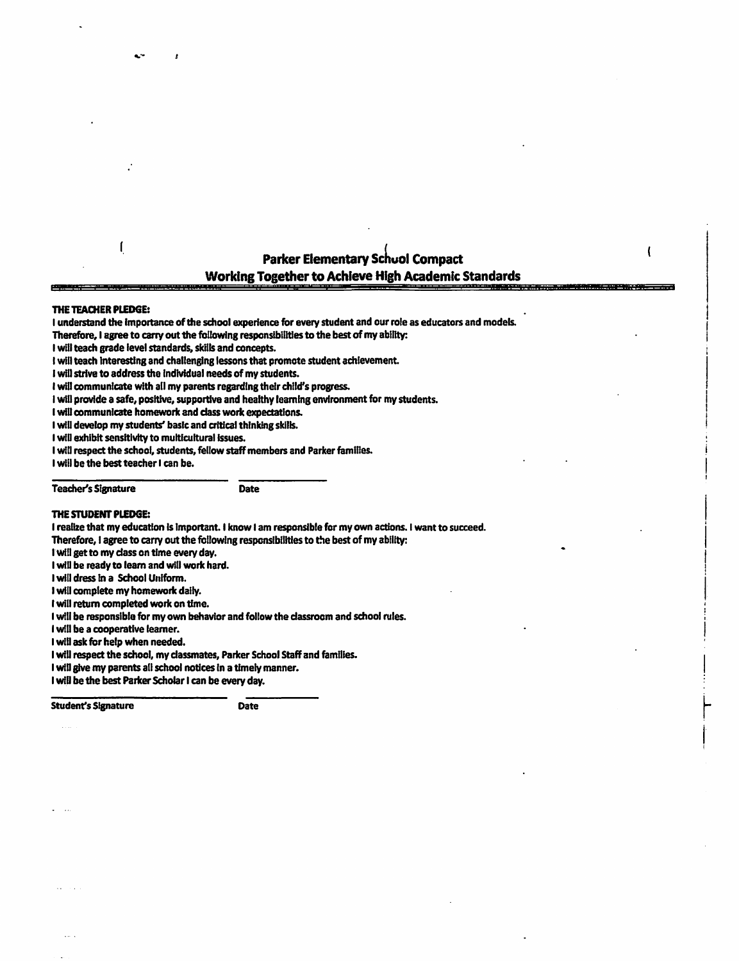## **Parker Elementary School Compact Working Together to Achieve High Academic Standards**

t

a a shekara ta ƙasar Ingila.

#### THE TEACHER PLEDGE:

 $\mathbf{r}$ 

I understand the importance of the school experience for every student and our role as educators and models.

Therefore, I agree to carry out the following responsibilities to the best of my ability:

I will teach grade level standards, skills and concepts.

I will teach interesting and challenging lessons that promote student achievement.

I will strive to address the individual needs of my students.

I will communicate with all my parents regarding their child's progress.

I will provide a safe, positive, supportive and healthy learning environment for my students.

**Date** 

I will communicate homework and class work expectations.

I will develop my students' basic and critical thinking skills.

I will exhibit sensitivity to multicultural issues.

I will respect the school, students, fellow staff members and Parker families.

I will be the best teacher I can be.

**Teacher's Signature** 

#### THE STUDENT PLEDGE:

I realize that my education is important. I know I am responsible for my own actions. I want to succeed.

Therefore, I agree to carry out the following responsibilities to the best of my ability:

I will get to my class on time every day.

I will be ready to learn and will work hard.

I will dress in a School Uniform.

I will complete my homework daily.

I will return completed work on time.

I will be responsible for my own behavior and follow the classroom and school rules.

I will be a cooperative learner.

I will ask for help when needed.

I will respect the school, my classmates, Parker School Staff and families.

I will give my parents all school notices in a timely manner.

I will be the best Parker Scholar I can be every day.

**Student's Signature** 

Date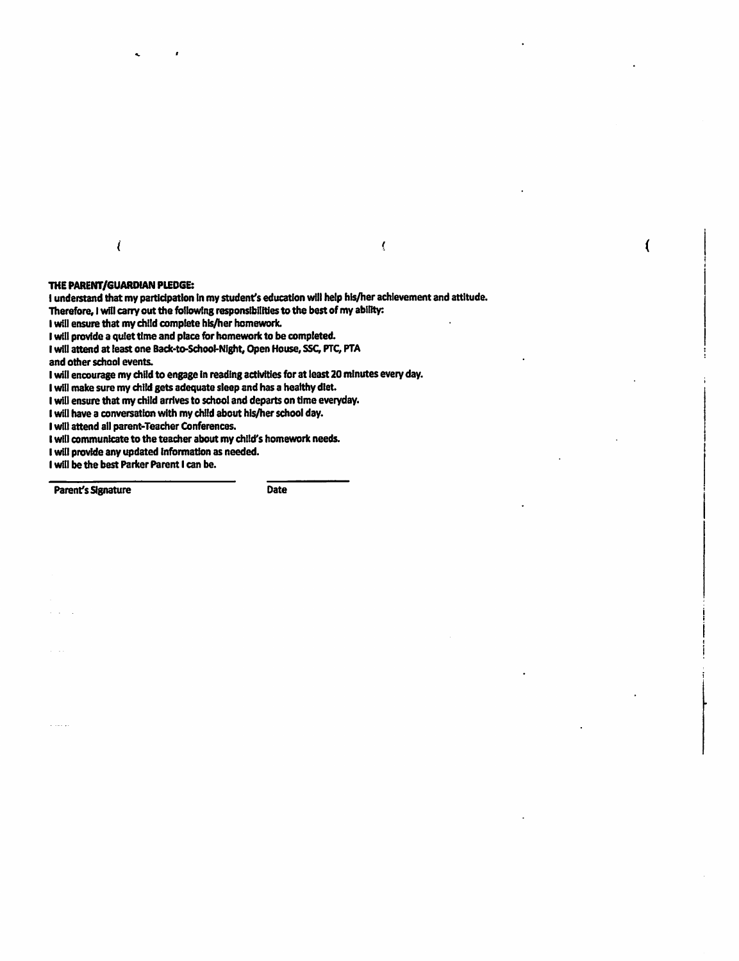$\epsilon$ 

#### $\overline{\mathbf{A}}$

 $\overline{\mathcal{L}}$ 

#### THE PARENT/GUARDIAN PLEDGE:

I understand that my participation in my student's education will help his/her achievement and attitude. Therefore, I will carry out the following responsibilities to the best of my ability:

I will ensure that my child complete his/her homework.

I will provide a quiet time and place for homework to be completed.

I will attend at least one Back-to-School-Night, Open House, SSC, PTC, PTA and other school events.

I will encourage my child to engage in reading activities for at least 20 minutes every day.

I will make sure my child gets adequate sleep and has a healthy diet.

I will ensure that my child arrives to school and departs on time everyday.

I will have a conversation with my child about his/her school day.

I will attend all parent-Teacher Conferences.

I will communicate to the teacher about my child's homework needs.

I will provide any updated information as needed.

I will be the best Parker Parent I can be.

**Parent's Signature** 

Date